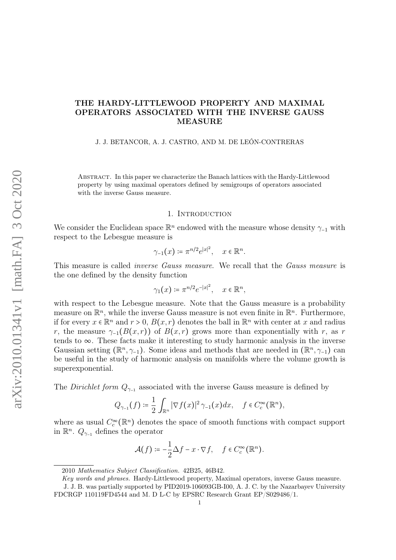## THE HARDY-LITTLEWOOD PROPERTY AND MAXIMAL OPERATORS ASSOCIATED WITH THE INVERSE GAUSS MEASURE

#### J. J. BETANCOR, A. J. CASTRO, AND M. DE LEÓN-CONTRERAS

Abstract. In this paper we characterize the Banach lattices with the Hardy-Littlewood property by using maximal operators defined by semigroups of operators associated with the inverse Gauss measure.

#### 1. INTRODUCTION

We consider the Euclidean space  $\mathbb{R}^n$  endowed with the measure whose density  $\gamma_{-1}$  with respect to the Lebesgue measure is

$$
\gamma_{-1}(x) \coloneqq \pi^{n/2} e^{|x|^2}, \quad x \in \mathbb{R}^n.
$$

This measure is called *inverse Gauss measure*. We recall that the *Gauss measure* is the one defined by the density function

$$
\gamma_1(x) \coloneqq \pi^{n/2} e^{-|x|^2}, \quad x \in \mathbb{R}^n,
$$

with respect to the Lebesgue measure. Note that the Gauss measure is a probability measure on  $\mathbb{R}^n$ , while the inverse Gauss measure is not even finite in  $\mathbb{R}^n$ . Furthermore, if for every  $x \in \mathbb{R}^n$  and  $r > 0$ ,  $B(x, r)$  denotes the ball in  $\mathbb{R}^n$  with center at x and radius r, the measure  $\gamma_{-1}(B(x,r))$  of  $B(x,r)$  grows more than exponentially with r, as r tends to  $\infty$ . These facts make it interesting to study harmonic analysis in the inverse Gaussian setting ( $\mathbb{R}^n$ ,  $\gamma$ <sub>-1</sub>). Some ideas and methods that are needed in ( $\mathbb{R}^n$ ,  $\gamma$ <sub>-1</sub>) can be useful in the study of harmonic analysis on manifolds where the volume growth is superexponential.

The *Dirichlet form*  $Q_{\gamma-1}$  associated with the inverse Gauss measure is defined by

$$
Q_{\gamma_{-1}}(f) \coloneqq \frac{1}{2} \int_{\mathbb{R}^n} |\nabla f(x)|^2 \, \gamma_{-1}(x) dx, \quad f \in C_c^{\infty}(\mathbb{R}^n),
$$

where as usual  $C_c^{\infty}(\mathbb{R}^n)$  denotes the space of smooth functions with compact support in  $\mathbb{R}^n$ .  $Q_{\gamma-1}$  defines the operator

$$
\mathcal{A}(f) \coloneqq -\frac{1}{2}\Delta f - x \cdot \nabla f, \quad f \in C_c^\infty(\mathbb{R}^n).
$$

<sup>2010</sup> Mathematics Subject Classification. 42B25, 46B42.

Key words and phrases. Hardy-Littlewood property, Maximal operators, inverse Gauss measure. J. J. B. was partially supported by PID2019-106093GB-I00, A. J. C. by the Nazarbayev University FDCRGP 110119FD4544 and M. D L-C by EPSRC Research Grant EP/S029486/1.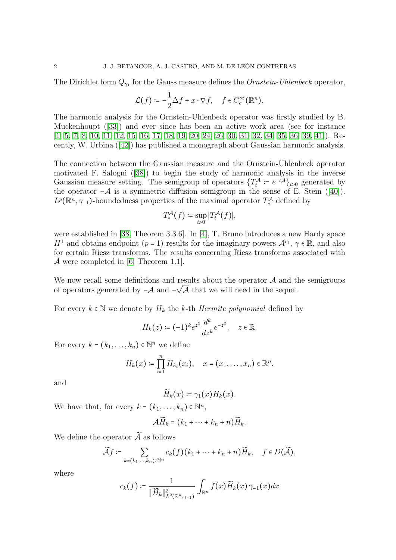The Dirichlet form  $Q_{\gamma_1}$  for the Gauss measure defines the *Ornstein-Uhlenbeck* operator,

$$
\mathcal{L}(f) \coloneqq -\frac{1}{2}\Delta f + x \cdot \nabla f, \quad f \in C_c^{\infty}(\mathbb{R}^n).
$$

The harmonic analysis for the Ornstein-Uhlenbeck operator was firstly studied by B. Muckenhoupt ([\[33\]](#page-35-0)) and ever since has been an active work area (see for instance [\[1,](#page-34-0) [5,](#page-34-1) [7,](#page-34-2) [8,](#page-34-3) [10,](#page-34-4) [11,](#page-34-5) [12,](#page-34-6) [15,](#page-34-7) [16,](#page-34-8) [17,](#page-34-9) [18,](#page-34-10) [19,](#page-34-11) [20,](#page-34-12) [24,](#page-34-13) [26,](#page-35-1) [30,](#page-35-2) [31,](#page-35-3) [32,](#page-35-4) [34,](#page-35-5) [35,](#page-35-6) [36,](#page-35-7) [39,](#page-35-8) [41\]](#page-35-9)). Recently, W. Urbina ([\[42\]](#page-35-10)) has published a monograph about Gaussian harmonic analysis.

The connection between the Gaussian measure and the Ornstein-Uhlenbeck operator motivated F. Salogni ([\[38\]](#page-35-11)) to begin the study of harmonic analysis in the inverse Gaussian measure setting. The semigroup of operators  $\{T_t^{\mathcal{A}} \coloneqq e^{-t\mathcal{A}}\}_{t>0}$  generated by the operator  $-\mathcal{A}$  is a symmetric diffusion semigroup in the sense of E. Stein ([\[40\]](#page-35-12)).  $L^p(\mathbb{R}^n, \gamma_{-1})$ -boundedness properties of the maximal operator  $T^{\mathcal{A}}_{*}$  defined by

$$
T_*^{\mathcal{A}}(f) \coloneqq \sup_{t>0} |T_t^{\mathcal{A}}(f)|,
$$

were established in [\[38,](#page-35-11) Theorem 3.3.6]. In [\[4\]](#page-34-14), T. Bruno introduces a new Hardy space H<sup>1</sup> and obtains endpoint  $(p = 1)$  results for the imaginary powers  $\mathcal{A}^{i\gamma}$ ,  $\gamma \in \mathbb{R}$ , and also for certain Riesz transforms. The results concerning Riesz transforms associated with A were completed in [\[6,](#page-34-15) Theorem 1.1].

We now recall some definitions and results about the operator  $\mathcal A$  and the semigroups of operators generated by  $-\mathcal{A}$  and  $-\sqrt{\mathcal{A}}$  that we will need in the sequel.

For every  $k \in \mathbb{N}$  we denote by  $H_k$  the k-th Hermite polynomial defined by

$$
H_k(z) \coloneqq (-1)^k e^{z^2} \frac{d^k}{dz^k} e^{-z^2}, \quad z \in \mathbb{R}.
$$

For every  $k = (k_1, \ldots, k_n) \in \mathbb{N}^n$  we define

$$
H_k(x) \coloneqq \prod_{i=1}^n H_{k_i}(x_i), \quad x = (x_1, \dots, x_n) \in \mathbb{R}^n,
$$

and

$$
\widetilde{H}_k(x) \coloneqq \gamma_1(x) H_k(x).
$$

We have that, for every  $k = (k_1, \ldots, k_n) \in \mathbb{N}^n$ ,

$$
\mathcal{A}\widetilde{H}_k=(k_1+\cdots+k_n+n)\widetilde{H}_k.
$$

We define the operator  $\widetilde{\mathcal{A}}$  as follows

$$
\widetilde{\mathcal{A}}f \coloneqq \sum_{k=(k_1,\ldots,k_n)\in\mathbb{N}^n} c_k(f)(k_1+\cdots+k_n+n)\widetilde{H}_k, \quad f \in D(\widetilde{\mathcal{A}}),
$$

where

$$
c_k(f) \coloneqq \frac{1}{\|\widetilde{H}_k\|_{L^2(\mathbb{R}^n, \gamma - 1)}^2} \int_{\mathbb{R}^n} f(x) \widetilde{H}_k(x) \, \gamma_{-1}(x) dx
$$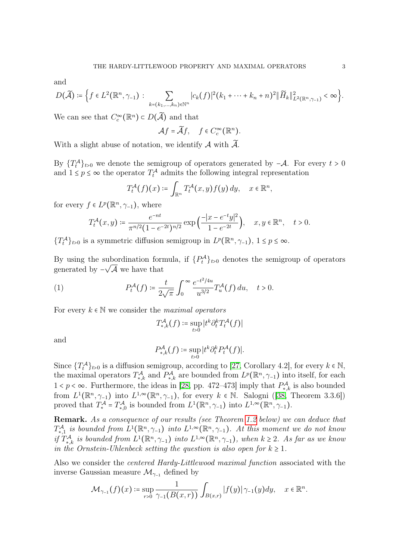and

$$
D(\widetilde{\mathcal{A}}) \coloneqq \Big\{ f \in L^{2}(\mathbb{R}^{n}, \gamma_{-1}) : \sum_{k=(k_{1}, \ldots, k_{n}) \in \mathbb{N}^{n}} |c_{k}(f)|^{2} (k_{1} + \cdots + k_{n} + n)^{2} \| \widetilde{H}_{k} \|_{L^{2}(\mathbb{R}^{n}, \gamma_{-1})}^{2} < \infty \Big\}.
$$

We can see that  $C_c^{\infty}(\mathbb{R}^n) \subset D(\widetilde{A})$  and that

$$
\mathcal{A}f = \widetilde{\mathcal{A}}f, \quad f \in C_c^{\infty}(\mathbb{R}^n).
$$

With a slight abuse of notation, we identify  $A$  with  $\widetilde{A}$ .

By  $\{T_t^{\mathcal{A}}\}_{t>0}$  we denote the semigroup of operators generated by  $-\mathcal{A}$ . For every  $t>0$ and  $1 \leq p \leq \infty$  the operator  $T_t^{\mathcal{A}}$  admits the following integral representation

$$
T_t^{\mathcal{A}}(f)(x) \coloneqq \int_{\mathbb{R}^n} T_t^{\mathcal{A}}(x, y) f(y) \, dy, \quad x \in \mathbb{R}^n,
$$

for every  $f \in L^p(\mathbb{R}^n, \gamma_{-1})$ , where

$$
T_t^{\mathcal{A}}(x,y) \coloneqq \frac{e^{-nt}}{\pi^{n/2}(1-e^{-2t})^{n/2}} \exp\left(\frac{-|x-e^{-t}y|^2}{1-e^{-2t}}\right), \quad x, y \in \mathbb{R}^n, \quad t > 0.
$$

{ $T_t^{\mathcal{A}}$ }<sub>t>0</sub> is a symmetric diffusion semigroup in  $L^p(\mathbb{R}^n, \gamma_{-1}), 1 \le p \le \infty$ .

By using the subordination formula, if  $\{P_t^{\mathcal{A}}\}_{t>0}$  denotes the semigroup of operators generated by  $-\sqrt{\mathcal{A}}$  we have that

(1) 
$$
P_t^{\mathcal{A}}(f) \coloneqq \frac{t}{2\sqrt{\pi}} \int_0^{\infty} \frac{e^{-t^2/4u}}{u^{3/2}} T_u^{\mathcal{A}}(f) du, \quad t > 0.
$$

For every  $k \in \mathbb{N}$  we consider the *maximal operators* 

<span id="page-2-0"></span>
$$
T^{\mathcal{A}}_{*,k}(f) \coloneqq \sup_{t>0} |t^k \partial_t^k T_t^{\mathcal{A}}(f)|
$$

and

$$
P_{*,k}^{\mathcal{A}}(f) \coloneqq \sup_{t>0} |t^k \partial_t^k P_t^{\mathcal{A}}(f)|.
$$

Since  $\{T_t^{\mathcal{A}}\}_{t>0}$  is a diffusion semigroup, according to [\[27,](#page-35-13) Corollary 4.2], for every  $k \in \mathbb{N}$ , the maximal operators  $T^{\mathcal{A}}_{*,k}$  and  $P^{\mathcal{A}}_{*,k}$  are bounded from  $L^p(\mathbb{R}^n, \gamma_{-1})$  into itself, for each  $1 < p < \infty$ . Furthermore, the ideas in [\[28,](#page-35-14) pp. 472–473] imply that  $P_{*,k}^{\mathcal{A}}$  is also bounded from  $L^1(\mathbb{R}^n, \gamma_{-1})$  into  $L^{1,\infty}(\mathbb{R}^n, \gamma_{-1})$ , for every  $k \in \mathbb{N}$ . Salogni ([\[38,](#page-35-11) Theorem 3.3.6]) proved that  $T^{\mathcal{A}}_* = T^{\mathcal{A}}_{*,0}$  is bounded from  $L^1(\mathbb{R}^n, \gamma_{-1})$  into  $L^{1,\infty}(\mathbb{R}^n, \gamma_{-1})$ .

Remark. As a consequence of our results (see Theorem [1.2](#page-5-0) below) we can deduce that  $T^{\mathcal{A}}_{*,1}$  is bounded from  $\overline{L}^1(\mathbb{R}^n,\gamma_{-1})$  into  $L^{1,\infty}(\mathbb{R}^n,\gamma_{-1})$ . At this moment we do not know if  $T^{\mathcal{A}}_{*,k}$  is bounded from  $L^1(\mathbb{R}^n, \gamma_{-1})$  into  $L^{1,\infty}(\mathbb{R}^n, \gamma_{-1})$ , when  $k \geq 2$ . As far as we know in the Ornstein-Uhlenbeck setting the question is also open for  $k \geq 1$ .

Also we consider the centered Hardy-Littlewood maximal function associated with the inverse Gaussian measure  $\mathcal{M}_{\gamma-1}$  defined by

$$
\mathcal{M}_{\gamma_{-1}}(f)(x) \coloneqq \sup_{r>0} \frac{1}{\gamma_{-1}(B(x,r))} \int_{B(x,r)} |f(y)| \gamma_{-1}(y) dy, \quad x \in \mathbb{R}^n.
$$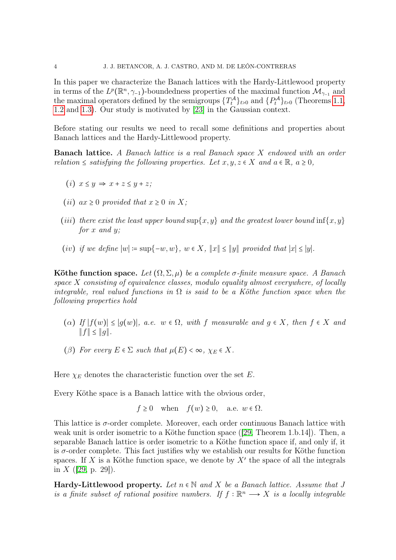In this paper we characterize the Banach lattices with the Hardy-Littlewood property in terms of the  $L^p(\mathbb{R}^n, \gamma_{-1})$ -boundedness properties of the maximal function  $\mathcal{M}_{\gamma_{-1}}$  and the maximal operators defined by the semigroups  $\{T_t^{\mathcal{A}}\}_{t>0}$  and  $\{P_t^{\mathcal{A}}\}_{t>0}$  (Theorems [1.1,](#page-5-1) [1.2](#page-5-0) and [1.3\)](#page-5-2). Our study is motivated by [\[23\]](#page-34-16) in the Gaussian context.

Before stating our results we need to recall some definitions and properties about Banach lattices and the Hardy-Littlewood property.

Banach lattice. A Banach lattice is a real Banach space X endowed with an order relation  $\leq$  satisfying the following properties. Let  $x, y, z \in X$  and  $a \in \mathbb{R}$ ,  $a \geq 0$ ,

- (i)  $x \leq y \Rightarrow x + z \leq y + z$ ;
- (*ii*)  $ax \geq 0$  provided that  $x \geq 0$  in X;
- (iii) there exist the least upper bound  $\sup\{x, y\}$  and the greatest lower bound  $\inf\{x, y\}$ for  $x$  and  $y$ :
- (iv) if we define  $|w| := \sup\{-w, w\}$ ,  $w \in X$ ,  $||x|| \le ||y||$  provided that  $|x| \le |y|$ .

Köthe function space. Let  $(\Omega, \Sigma, \mu)$  be a complete  $\sigma$ -finite measure space. A Banach space  $X$  consisting of equivalence classes, modulo equality almost everywhere, of locally integrable, real valued functions in  $\Omega$  is said to be a Köthe function space when the following properties hold

- (a) If  $|f(w)| \le |g(w)|$ , a.e.  $w \in \Omega$ , with f measurable and  $g \in X$ , then  $f \in X$  and ∥f∥ ≤ ∥g∥.
- ( $\beta$ ) For every  $E \in \Sigma$  such that  $\mu(E) < \infty$ ,  $\chi_E \in X$ .

Here  $\chi_E$  denotes the characteristic function over the set E.

Every Köthe space is a Banach lattice with the obvious order,

$$
f \ge 0
$$
 when  $f(w) \ge 0$ , a.e.  $w \in \Omega$ .

This lattice is  $\sigma$ -order complete. Moreover, each order continuous Banach lattice with weak unit is order isometric to a Köthe function space ([\[29,](#page-35-15) Theorem 1.b.14]). Then, a separable Banach lattice is order isometric to a Köthe function space if, and only if, it is  $\sigma$ -order complete. This fact justifies why we establish our results for Köthe function spaces. If X is a Köthe function space, we denote by  $X'$  the space of all the integrals in  $X$  ([\[29,](#page-35-15) p. 29]).

**Hardy-Littlewood property.** Let  $n \in \mathbb{N}$  and X be a Banach lattice. Assume that J is a finite subset of rational positive numbers. If  $f : \mathbb{R}^n \longrightarrow X$  is a locally integrable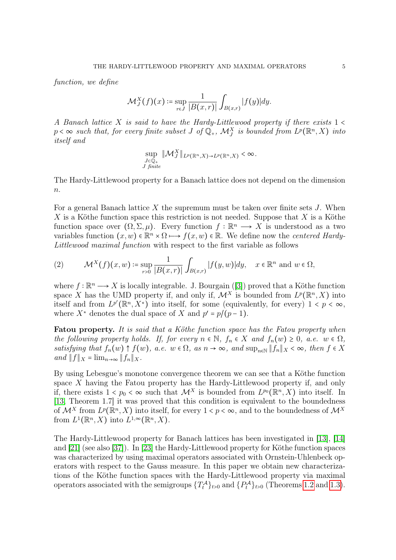function, we define

$$
\mathcal{M}_J^X(f)(x) \coloneqq \sup_{r \in J} \frac{1}{|B(x,r)|} \int_{B(x,r)} |f(y)| dy.
$$

A Banach lattice X is said to have the Hardy-Littlewood property if there exists  $1 \le$  $p < \infty$  such that, for every finite subset J of  $\mathbb{Q}_+$ ,  $\mathcal{M}^X_J$  is bounded from  $L^p(\mathbb{R}^n, X)$  into itself and

$$
\sup_{\substack{J\subset\mathbb{Q}_+\\J\text{ finite}}}\|\mathcal{M}_J^X\|_{L^p(\mathbb{R}^n,X)\to L^p(\mathbb{R}^n,X)}<\infty.
$$

The Hardy-Littlewood property for a Banach lattice does not depend on the dimension  $n$ .

For a general Banach lattice  $X$  the supremum must be taken over finite sets  $J$ . When  $X$  is a Köthe function space this restriction is not needed. Suppose that  $X$  is a Köthe function space over  $(\Omega, \Sigma, \mu)$ . Every function  $f : \mathbb{R}^n \longrightarrow X$  is understood as a two variables function  $(x, w) \in \mathbb{R}^n \times \Omega \mapsto f(x, w) \in \mathbb{R}$ . We define now the *centered Hardy*-Littlewood maximal function with respect to the first variable as follows

<span id="page-4-0"></span>(2) 
$$
\mathcal{M}^X(f)(x,w) \coloneqq \sup_{r>0} \frac{1}{|B(x,r)|} \int_{B(x,r)} |f(y,w)| dy, \quad x \in \mathbb{R}^n \text{ and } w \in \Omega,
$$

where  $f : \mathbb{R}^n \longrightarrow X$  is locally integrable. J. Bourgain ([\[3\]](#page-34-17)) proved that a Köthe function space X has the UMD property if, and only if,  $\mathcal{M}^X$  is bounded from  $L^p(\mathbb{R}^n, X)$  into itself and from  $L^{p'}(\mathbb{R}^n, X^*)$  into itself, for some (equivalently, for every)  $1 < p < \infty$ , where  $X^*$  denotes the dual space of X and  $p' = p/(p-1)$ .

**Fatou property.** It is said that a Köthe function space has the Fatou property when the following property holds. If, for every  $n \in \mathbb{N}$ ,  $f_n \in X$  and  $f_n(w) \geq 0$ , a.e.  $w \in \Omega$ , satisfying that  $f_n(w) \uparrow f(w)$ , a.e.  $w \in \Omega$ , as  $n \to \infty$ , and  $\sup_{n \in \mathbb{N}} ||f_n||_X < \infty$ , then  $f \in X$ and  $||f||_X = \lim_{n \to \infty} ||f_n||_X$ .

By using Lebesgue's monotone convergence theorem we can see that a Köthe function space X having the Fatou property has the Hardy-Littlewood property if, and only if, there exists  $1 < p_0 < \infty$  such that  $\mathcal{M}^X$  is bounded from  $L^{p_0}(\mathbb{R}^n, X)$  into itself. In [\[13,](#page-34-18) Theorem 1.7] it was proved that this condition is equivalent to the boundedness of  $\mathcal{M}^X$  from  $L^p(\mathbb{R}^n, X)$  into itself, for every  $1 < p < \infty$ , and to the boundedness of  $\mathcal{M}^X$ from  $L^1(\mathbb{R}^n, X)$  into  $L^{1,\infty}(\mathbb{R}^n, X)$ .

The Hardy-Littlewood property for Banach lattices has been investigated in [\[13\]](#page-34-18), [\[14\]](#page-34-19) and [\[21\]](#page-34-20) (see also [\[37\]](#page-35-16)). In [\[23\]](#page-34-16) the Hardy-Littlewood property for Köthe function spaces was characterized by using maximal operators associated with Ornstein-Uhlenbeck operators with respect to the Gauss measure. In this paper we obtain new characterizations of the Köthe function spaces with the Hardy-Littlewood property via maximal operators associated with the semigroups  $\{T_t^{\mathcal{A}}\}_{t>0}$  and  $\{P_t^{\mathcal{A}}\}_{t>0}$  (Theorems [1.2](#page-5-0) and [1.3\)](#page-5-2).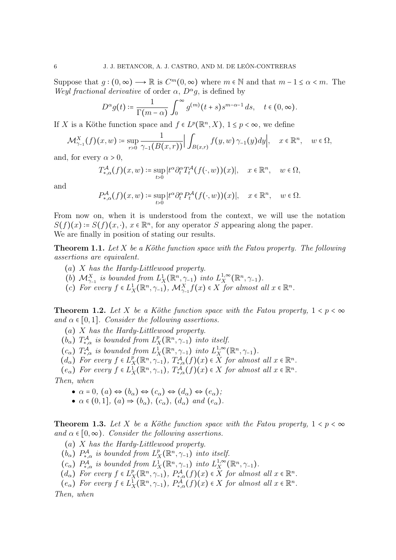Suppose that  $q:(0,\infty) \longrightarrow \mathbb{R}$  is  $C^m(0,\infty)$  where  $m \in \mathbb{N}$  and that  $m-1 \leq \alpha < m$ . The Weyl fractional derivative of order  $\alpha$ ,  $D^{\alpha}q$ , is defined by

$$
D^{\alpha}g(t) \coloneqq \frac{1}{\Gamma(m-\alpha)} \int_0^{\infty} g^{(m)}(t+s) s^{m-\alpha-1} ds, \quad t \in (0,\infty).
$$

If X is a Köthe function space and  $f \in L^p(\mathbb{R}^n, X)$ ,  $1 \leq p < \infty$ , we define

$$
\mathcal{M}^X_{\gamma_{-1}}(f)(x,w) \coloneqq \sup_{r>0} \frac{1}{\gamma_{-1}(B(x,r))} \Big| \int_{B(x,r)} f(y,w) \, \gamma_{-1}(y) dy \Big|, \quad x \in \mathbb{R}^n, \quad w \in \Omega,
$$

and, for every  $\alpha > 0$ ,

$$
T_{*,\alpha}^{\mathcal{A}}(f)(x,w) \coloneqq \sup_{t>0} |t^{\alpha} \partial_t^{\alpha} T_t^{\mathcal{A}}(f(\cdot,w))(x)|, \quad x \in \mathbb{R}^n, \quad w \in \Omega,
$$

and

$$
P_{*,\alpha}^{\mathcal{A}}(f)(x,w) \coloneqq \sup_{t>0} |t^{\alpha} \partial_t^{\alpha} P_t^{\mathcal{A}}(f(\cdot,w))(x)|, \quad x \in \mathbb{R}^n, \quad w \in \Omega.
$$

From now on, when it is understood from the context, we will use the notation  $S(f)(x) = S(f)(x, \cdot), x \in \mathbb{R}^n$ , for any operator S appearing along the paper. We are finally in position of stating our results.

<span id="page-5-1"></span>**Theorem 1.1.** Let  $X$  be a Köthe function space with the Fatou property. The following assertions are equivalent.

- (a) X has the Hardy-Littlewood property.
- (b)  $\mathcal{M}_{\gamma-1}^X$  is bounded from  $L^1_X(\mathbb{R}^n, \gamma)$  into  $L^{1,\infty}_X$  $X^{1,\infty}_X(\mathbb{R}^n,\gamma_{-1}).$
- (c) For every  $f \in L^1_X(\mathbb{R}^n, \gamma_{-1}), \mathcal{M}_{\gamma_{-1}}^X f(x) \in X$  for almost all  $x \in \mathbb{R}^n$ .

<span id="page-5-0"></span>**Theorem 1.2.** Let X be a Köthe function space with the Fatou property,  $1 < p < \infty$ and  $\alpha \in [0,1]$ . Consider the following assertions.

(a) X has the Hardy-Littlewood property.

 $(b_{\alpha})$   $T_{*,\alpha}^{\mathcal{A}}$  is bounded from  $L_{\mathcal{I}}^{p}$  $\sum_{X}^{p}(\mathbb{R}^n, \gamma_{-1})$  into itself.

(c<sub>a</sub>)  $T_{*,\alpha}^{\mathcal{A}}$  is bounded from  $L_X^1(\mathbb{R}^n, \gamma_{-1})$  into  $L_X^{1,\infty}$  $X^{1,\infty}_X(\mathbb{R}^n,\gamma_{-1}).$ 

- $(d_{\alpha})$  For every  $f \in L_{\mathcal{X}}^p$  $\overline{X}_X^p(\mathbb{R}^n, \gamma_{-1}), T^{\mathcal{A}}_{*,\alpha}(f)(x) \in \overline{X}$  for almost all  $x \in \mathbb{R}^n$ .
- $(e_{\alpha})$  For every  $f \in L_X^1(\mathbb{R}^n, \gamma_{-1}), T_{*,\alpha}^{\mathcal{A}}(f)(x) \in X$  for almost all  $x \in \mathbb{R}^n$ .

Then, when

- $\bullet \ \alpha = 0, \ (a) \Leftrightarrow (b_{\alpha}) \Leftrightarrow (c_{\alpha}) \Leftrightarrow (d_{\alpha}) \Leftrightarrow (e_{\alpha});$
- $\bullet \alpha \in (0,1], (a) \Rightarrow (b_{\alpha}), (c_{\alpha}), (d_{\alpha}) \text{ and } (e_{\alpha}).$

<span id="page-5-2"></span>**Theorem 1.3.** Let X be a Köthe function space with the Fatou property,  $1 < p < \infty$ and  $\alpha \in [0, \infty)$ . Consider the following assertions.

- (a) X has the Hardy-Littlewood property.
- $(\dot{b}_{\alpha})$   $P_{*,\alpha}^{\mathcal{A}}$  is bounded from  $L_{\mathcal{I}}^{p}$  $\prod_{X}^{p}(\mathbb{R}^{n},\gamma_{-1})$  into itself.
- (c<sub>α</sub>)  $P_{*,\alpha}^{\mathcal{A}}$  is bounded from  $L_X^1(\mathbb{R}^n, \gamma_{-1})$  into  $L_X^{1,\infty}$  $\frac{1, \infty}{X}(\mathbb{R}^n, \gamma_{-1}).$
- $(d_{\alpha})$  For every  $f \in L_{\mathcal{X}}^p$  $P_X^p(\mathbb{R}^n, \gamma_{-1}), P_{*,\alpha}^{\mathcal{A}}(f)(x) \in X$  for almost all  $x \in \mathbb{R}^n$ .
- $(e_{\alpha})$  For every  $f \in L_X^1(\mathbb{R}^n, \gamma_{-1}), P_{*,\alpha}^{\mathcal{A}}(f)(x) \in X$  for almost all  $x \in \mathbb{R}^n$ .

Then, when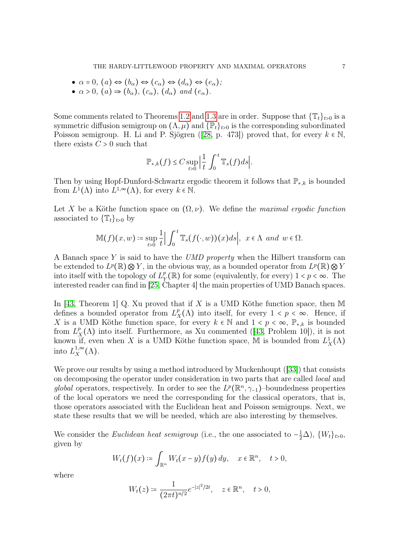- $\bullet \ \alpha = 0, \ (a) \Leftrightarrow (b_{\alpha}) \Leftrightarrow (c_{\alpha}) \Leftrightarrow (d_{\alpha}) \Leftrightarrow (e_{\alpha});$
- $\alpha > 0$ ,  $(a) \Rightarrow (b_{\alpha})$ ,  $(c_{\alpha})$ ,  $(d_{\alpha})$  and  $(e_{\alpha})$ .

Some comments related to Theorems [1.2](#page-5-0) and [1.3](#page-5-2) are in order. Suppose that  $\{\mathbb{T}_t\}_{t>0}$  is a symmetric diffusion semigroup on  $(\Lambda, \mu)$  and  $\{\mathbb{P}_t\}_{t>0}$  is the corresponding subordinated Poisson semigroup. H. Li and P. Sjögren ([\[28,](#page-35-14) p. 473]) proved that, for every  $k \in \mathbb{N}$ , there exists  $C > 0$  such that

$$
\mathbb{P}_{*,k}(f) \leq C \sup_{t>0} \Big| \frac{1}{t} \int_0^t \mathbb{T}_s(f) ds \Big|.
$$

Then by using Hopf-Dunford-Schwartz ergodic theorem it follows that  $\mathbb{P}_{*,k}$  is bounded from  $L^1(\Lambda)$  into  $L^{1,\infty}(\Lambda)$ , for every  $k \in \mathbb{N}$ .

Let X be a Köthe function space on  $(\Omega, \nu)$ . We define the maximal ergodic function associated to  $\{\mathbb{T}_t\}_{t>0}$  by

$$
\mathbb{M}(f)(x,w) \coloneqq \sup_{t>0} \frac{1}{t} \Big| \int_0^t \mathbb{T}_s(f(\cdot,w))(x) ds \Big|, \ \ x \in \Lambda \ \ and \ \ w \in \Omega.
$$

A Banach space Y is said to have the *UMD property* when the Hilbert transform can be extended to  $L^p(\mathbb{R})\otimes Y$ , in the obvious way, as a bounded operator from  $L^p(\mathbb{R})\otimes Y$ into itself with the topology of  $L^p$  $_{Y}^{p}(\mathbb{R})$  for some (equivalently, for every)  $1 < p < \infty$ . The interested reader can find in [\[25,](#page-34-21) Chapter 4] the main properties of UMD Banach spaces.

In [\[43,](#page-35-17) Theorem 1] Q. Xu proved that if X is a UMD Köthe function space, then M defines a bounded operator from  $L^p$  $\chi^p(X)$  into itself, for every  $1 < p < \infty$ . Hence, if X is a UMD Köthe function space, for every  $k \in \mathbb{N}$  and  $1 \lt p \lt \infty$ ,  $\mathbb{P}_{*,k}$  is bounded from  $L^p$  $K_X^p(\Lambda)$  into itself. Furthermore, as Xu commented ([\[43,](#page-35-17) Problem 10]), it is not known if, even when X is a UMD Köthe function space, M is bounded from  $L_X^1(\Lambda)$ into  $L_X^{1,\infty}$  $X^{1,\infty}(\Lambda).$ 

We prove our results by using a method introduced by Muckenhoupt ([\[33\]](#page-35-0)) that consists on decomposing the operator under consideration in two parts that are called local and global operators, respectively. In order to see the  $L^p(\mathbb{R}^n, \gamma_{-1})$ –boundedness properties of the local operators we need the corresponding for the classical operators, that is, those operators associated with the Euclidean heat and Poisson semigroups. Next, we state these results that we will be needed, which are also interesting by themselves.

We consider the Euclidean heat semigroup (i.e., the one associated to  $-\frac{1}{2}\Delta$ ),  $\{W_t\}_{t>0}$ , given by

$$
W_t(f)(x) \coloneqq \int_{\mathbb{R}^n} W_t(x-y)f(y) \, dy, \quad x \in \mathbb{R}^n, \quad t > 0,
$$

where

$$
W_t(z) \coloneqq \frac{1}{(2\pi t)^{n/2}} e^{-|z|^2/2t}, \quad z \in \mathbb{R}^n, \quad t > 0,
$$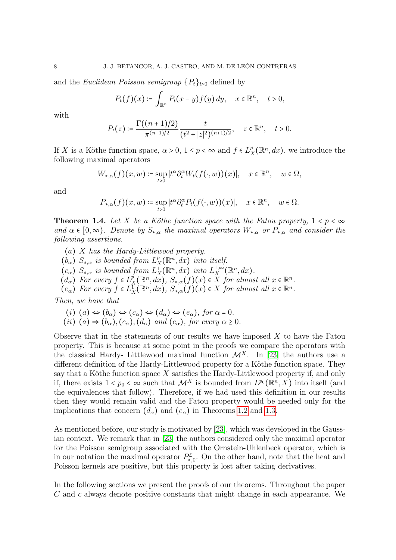and the Euclidean Poisson semigroup  $\{P_t\}_{t>0}$  defined by

$$
P_t(f)(x) \coloneqq \int_{\mathbb{R}^n} P_t(x-y) f(y) \, dy, \quad x \in \mathbb{R}^n, \quad t > 0,
$$

with

$$
P_t(z) \coloneqq \frac{\Gamma((n+1)/2)}{\pi^{(n+1)/2}} \frac{t}{(t^2+|z|^2)^{(n+1)/2}}, \quad z \in \mathbb{R}^n, \quad t > 0.
$$

If X is a Köthe function space,  $\alpha > 0$ ,  $1 \le p < \infty$  and  $f \in L^p$  $X_X^p(\mathbb{R}^n, dx)$ , we introduce the following maximal operators

$$
W_{*,\alpha}(f)(x,w) \coloneqq \sup_{t>0} |t^{\alpha} \partial_t^{\alpha} W_t(f(\cdot,w))(x)|, \quad x \in \mathbb{R}^n, \quad w \in \Omega,
$$

and

$$
P_{*,\alpha}(f)(x,w) \coloneqq \sup_{t>0} |t^{\alpha} \partial_t^{\alpha} P_t(f(\cdot,w))(x)|, \quad x \in \mathbb{R}^n, \quad w \in \Omega.
$$

<span id="page-7-0"></span>**Theorem 1.4.** Let X be a Köthe function space with the Fatou property,  $1 < p < \infty$ and  $\alpha \in [0,\infty)$ . Denote by  $S_{*,\alpha}$  the maximal operators  $W_{*,\alpha}$  or  $P_{*,\alpha}$  and consider the following assertions.

- (a) X has the Hardy-Littlewood property.
- $(b_{\alpha}) S_{*,\alpha}$  is bounded from  $L_{\beta}^p$  $X_R^p(\mathbb{R}^n, dx)$  into itself.
- $(c_{\alpha})$   $S_{*,\alpha}$  is bounded from  $L_X^1(\mathbb{R}^n,dx)$  into  $L_X^{1,\infty}$  $X^{1,\infty}_X(\mathbb{R}^n,dx).$
- $(d_{\alpha})$  For every  $f \in L_{\mathcal{I}}^{\rho}$  $X_X^p(\mathbb{R}^n, dx)$ ,  $S_{*,\alpha}(f)(x) \in X$  for almost all  $x \in \mathbb{R}^n$ .
- $(e_{\alpha})$  For every  $f \in L_X^1(\mathbb{R}^n, dx)$ ,  $S_{*,\alpha}(f)(x) \in X$  for almost all  $x \in \mathbb{R}^n$ .

Then, we have that

(i) 
$$
(a) \Leftrightarrow (b_{\alpha}) \Leftrightarrow (c_{\alpha}) \Leftrightarrow (d_{\alpha}) \Leftrightarrow (e_{\alpha}), \text{ for } \alpha = 0.
$$
  
(ii)  $(a) \Rightarrow (b_{\alpha}), (c_{\alpha}), (d_{\alpha}) \text{ and } (e_{\alpha}), \text{ for every } \alpha \geq 0.$ 

Observe that in the statements of our results we have imposed  $X$  to have the Fatou property. This is because at some point in the proofs we compare the operators with the classical Hardy- Littlewood maximal function  $\mathcal{M}^{X}$ . In [\[23\]](#page-34-16) the authors use a different definition of the Hardy-Littlewood property for a Köthe function space. They say that a Köthe function space  $X$  satisfies the Hardy-Littlewood property if, and only if, there exists  $1 < p_0 < \infty$  such that  $\mathcal{M}^X$  is bounded from  $L^{p_0}(\mathbb{R}^n, X)$  into itself (and the equivalences that follow). Therefore, if we had used this definition in our results then they would remain valid and the Fatou property would be needed only for the implications that concern  $(d_{\alpha})$  and  $(e_{\alpha})$  in Theorems [1.2](#page-5-0) and [1.3.](#page-5-2)

As mentioned before, our study is motivated by [\[23\]](#page-34-16), which was developed in the Gaussian context. We remark that in [\[23\]](#page-34-16) the authors considered only the maximal operator for the Poisson semigroup associated with the Ornstein-Uhlenbeck operator, which is in our notation the maximal operator  $P_{*,0}^{\mathcal{L}}$ . On the other hand, note that the heat and Poisson kernels are positive, but this property is lost after taking derivatives.

In the following sections we present the proofs of our theorems. Throughout the paper C and c always denote positive constants that might change in each appearance. We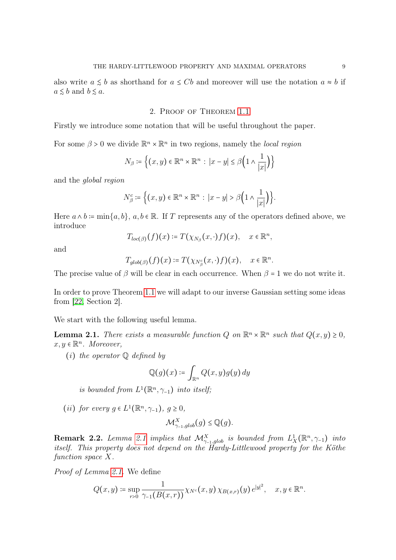also write  $a \leq b$  as shorthand for  $a \leq Cb$  and moreover will use the notation  $a \approx b$  if  $a \leq b$  and  $b \leq a$ .

### 2. Proof of Theorem [1.1](#page-5-1)

Firstly we introduce some notation that will be useful throughout the paper.

For some  $\beta > 0$  we divide  $\mathbb{R}^n \times \mathbb{R}^n$  in two regions, namely the *local region* 

$$
N_{\beta} \coloneqq \left\{ (x, y) \in \mathbb{R}^n \times \mathbb{R}^n : \left| x - y \right| \le \beta \left( 1 \wedge \frac{1}{|x|} \right) \right\}
$$

and the global region

$$
N_{\beta}^{c} \coloneqq \Big\{ (x, y) \in \mathbb{R}^{n} \times \mathbb{R}^{n} : \, |x - y| > \beta \Big( 1 \wedge \frac{1}{|x|} \Big) \Big\}.
$$

Here  $a \wedge b = \min\{a, b\}, a, b \in \mathbb{R}$ . If T represents any of the operators defined above, we introduce

$$
T_{loc(\beta)}(f)(x) \coloneqq T(\chi_{N_{\beta}}(x,\cdot)f)(x), \quad x \in \mathbb{R}^n,
$$

and

$$
T_{glob(\beta)}(f)(x) \coloneqq T(\chi_{N_\beta^c}(x,\cdot)f)(x), \quad x \in \mathbb{R}^n.
$$

The precise value of  $\beta$  will be clear in each occurrence. When  $\beta = 1$  we do not write it.

In order to prove Theorem [1.1](#page-5-1) we will adapt to our inverse Gaussian setting some ideas from [\[22,](#page-34-22) Section 2].

We start with the following useful lemma.

<span id="page-8-0"></span>**Lemma 2.1.** There exists a measurable function Q on  $\mathbb{R}^n \times \mathbb{R}^n$  such that  $Q(x, y) \geq 0$ ,  $x, y \in \mathbb{R}^n$ . Moreover,

(*i*) the operator  $\mathbb Q$  defined by

$$
\mathbb{Q}(g)(x)\coloneqq \int_{\mathbb{R}^n} Q(x,y)g(y)\,dy
$$

is bounded from  $L^1(\mathbb{R}^n, \gamma_{-1})$  into itself;

(ii) for every  $g \in L^1(\mathbb{R}^n, \gamma_{-1}), g \geq 0$ ,

$$
\mathcal{M}_{\gamma_{-1},glob}^X(g) \leq \mathbb{Q}(g).
$$

<span id="page-8-1"></span>**Remark 2.2.** Lemma [2.1](#page-8-0) implies that  $\mathcal{M}_{\gamma_{-1},glob}^X$  is bounded from  $L_X^1(\mathbb{R}^n, \gamma_{-1})$  into itself. This property does not depend on the Hardy-Littlewood property for the Köthe function space X.

Proof of Lemma [2.1.](#page-8-0) We define

$$
Q(x,y) \coloneqq \sup_{r>0} \frac{1}{\gamma_{-1}(B(x,r))} \chi_{N^c}(x,y) \, \chi_{B(x,r)}(y) \, e^{|y|^2}, \quad x, y \in \mathbb{R}^n.
$$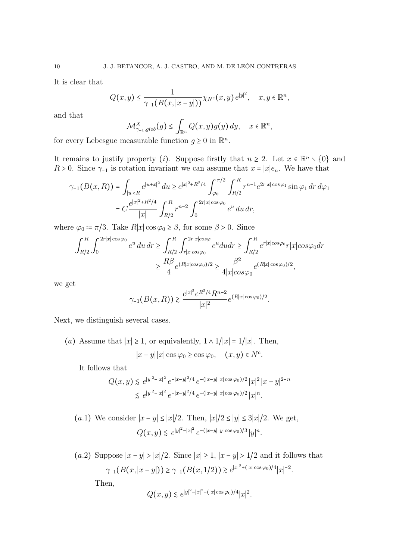It is clear that

$$
Q(x,y) \leq \frac{1}{\gamma_{-1}(B(x,|x-y|))} \chi_{N^c}(x,y) e^{|y|^2}, \quad x, y \in \mathbb{R}^n,
$$

and that

$$
\mathcal{M}^X_{\gamma_{-1}, glob}(g) \leq \int_{\mathbb{R}^n} Q(x,y)g(y) dy, \quad x \in \mathbb{R}^n,
$$

for every Lebesgue measurable function  $g \geq 0$  in  $\mathbb{R}^n$ .

It remains to justify property (*i*). Suppose firstly that  $n \geq 2$ . Let  $x \in \mathbb{R}^n \setminus \{0\}$  and  $R > 0$ . Since  $\gamma_{-1}$  is rotation invariant we can assume that  $x = |x|e_n$ . We have that

$$
\gamma_{-1}(B(x,R)) = \int_{|u|
$$
= C \frac{e^{|x|^2+R^2/4}}{|x|} \int_{R/2}^R r^{n-2} \int_0^{2r|x|\cos\varphi_0} e^u du dr,
$$
$$

where  $\varphi_0 = \pi/3$ . Take  $R|x| \cos \varphi_0 \ge \beta$ , for some  $\beta > 0$ . Since

$$
\int_{R/2}^{R} \int_{0}^{2r|x|\cos\varphi_{0}} e^{u} du dr \ge \int_{R/2}^{R} \int_{r|x|\cos\varphi_{0}}^{2r|x|\cos\varphi} e^{u} du dr \ge \int_{R/2}^{R} e^{r|x|\cos\varphi_{0}} r|x|\cos\varphi_{0} dr
$$

$$
\ge \frac{R\beta}{4} e^{(R|x|\cos\varphi_{0})/2} \ge \frac{\beta^{2}}{4|x|\cos\varphi_{0}} e^{(R|x|\cos\varphi_{0})/2},
$$

we get

$$
\gamma_{-1}(B(x,R)) \ge \frac{e^{|x|^2} e^{R^2/4} R^{n-2}}{|x|^2} e^{(R|x|\cos\varphi_0)/2}.
$$

Next, we distinguish several cases.

(a) Assume that  $|x| \geq 1$ , or equivalently,  $1 \wedge 1/|x| = 1/|x|$ . Then,  $|x-y||x|\cos\varphi_0 \geq \cos\varphi_0, \quad (x, y) \in N^c.$ 

It follows that

$$
Q(x,y) \lesssim e^{|y|^2 - |x|^2} e^{-|x-y|^2/4} e^{-(|x-y||x|\cos\varphi_0)/2} |x|^2 |x-y|^{2-n}
$$
  

$$
\lesssim e^{|y|^2 - |x|^2} e^{-|x-y|^2/4} e^{-(|x-y||x|\cos\varphi_0)/2} |x|^n.
$$

(a.1) We consider 
$$
|x - y| \le |x|/2
$$
. Then,  $|x|/2 \le |y| \le 3|x|/2$ . We get,  

$$
Q(x, y) \lesssim e^{|y|^2 - |x|^2} e^{-(|x - y||y| \cos \varphi_0)/3} |y|^n.
$$

(a.2) Suppose  $|x-y| > |x|/2$ . Since  $|x| \ge 1$ ,  $|x-y| > 1/2$  and it follows that  $\gamma_{-1}(B(x,|x-y|)) \ge \gamma_{-1}(B(x,1/2)) \ge e^{|x|^2 + (|x|\cos\varphi_0)/4}|x|^{-2}.$ Then,

$$
Q(x, y) \le e^{|y|^2 - |x|^2 - (|x|\cos\varphi_0)/4} |x|^2
$$
.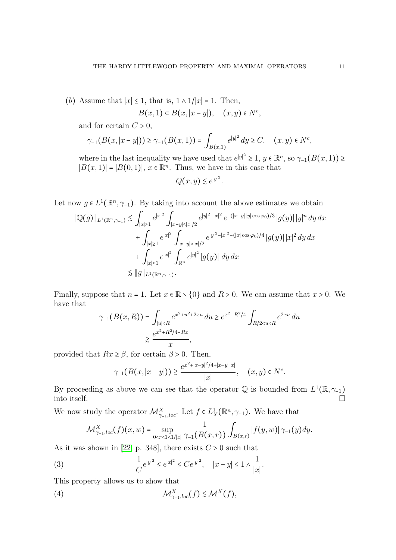(b) Assume that  $|x| \leq 1$ , that is,  $1 \wedge 1/|x| = 1$ . Then,

$$
B(x,1) \subset B(x,|x-y|), \quad (x,y) \in N^c,
$$

and for certain  $C > 0$ ,

$$
\gamma_{-1}(B(x,|x-y|)) \ge \gamma_{-1}(B(x,1)) = \int_{B(x,1)} e^{|y|^2} dy \ge C, \quad (x,y) \in N^c,
$$

where in the last inequality we have used that  $e^{|y|^2} \geq 1$ ,  $y \in \mathbb{R}^n$ , so  $\gamma_{-1}(B(x,1)) \geq$  $|B(x, 1)| = |B(0, 1)|, x \in \mathbb{R}^n$ . Thus, we have in this case that

$$
Q(x, y) \lesssim e^{|y|^2}.
$$

Let now  $g \in L^1(\mathbb{R}^n, \gamma_{-1})$ . By taking into account the above estimates we obtain

$$
\|\mathbb{Q}(g)\|_{L^{1}(\mathbb{R}^{n},\gamma_{-1})} \lesssim \int_{|x|\geq 1} e^{|x|^{2}} \int_{|x-y|\leq |x|/2} e^{|y|^{2}-|x|^{2}} e^{-(|x-y||y|\cos\varphi_{0})/3} |g(y)| |y|^{n} dy dx
$$
  
+ 
$$
\int_{|x|\geq 1} e^{|x|^{2}} \int_{|x-y|>|x|/2} e^{|y|^{2}-|x|^{2}-(|x|\cos\varphi_{0})/4} |g(y)| |x|^{2} dy dx
$$
  
+ 
$$
\int_{|x|\leq 1} e^{|x|^{2}} \int_{\mathbb{R}^{n}} e^{|y|^{2}} |g(y)| dy dx
$$
  
\$\leq \|g\|\_{L^{1}(\mathbb{R}^{n},\gamma\_{-1})}.

Finally, suppose that  $n = 1$ . Let  $x \in \mathbb{R} \setminus \{0\}$  and  $R > 0$ . We can assume that  $x > 0$ . We have that

$$
\gamma_{-1}(B(x,R)) = \int_{|u| < R} e^{x^2 + u^2 + 2xu} \, du \ge e^{x^2 + R^2/4} \int_{R/2 < u < R} e^{2xu} \, du
$$
\n
$$
\ge \frac{e^{x^2 + R^2/4 + Rx}}{x},
$$

provided that  $Rx \geq \beta$ , for certain  $\beta > 0$ . Then,

$$
\gamma_{-1}(B(x,|x-y|)) \ge \frac{e^{x^2+|x-y|^2/4+|x-y||x|}}{|x|}, \quad (x,y) \in N^c.
$$

By proceeding as above we can see that the operator  $\mathbb Q$  is bounded from  $L^1(\mathbb R, \gamma_{-1})$ into itself.

We now study the operator  $\mathcal{M}_{\gamma_{-1},loc}^X$ . Let  $f \in L_X^1(\mathbb{R}^n, \gamma_{-1})$ . We have that

<span id="page-10-1"></span><span id="page-10-0"></span>
$$
\mathcal{M}^X_{\gamma_{-1},loc}(f)(x,w) = \sup_{0 < r < 1 \wedge 1/|x|} \frac{1}{\gamma_{-1}(B(x,r))} \int_{B(x,r)} |f(y,w)| \gamma_{-1}(y) dy.
$$

.

As it was shown in [\[22,](#page-34-22) p. 348], there exists  $C > 0$  such that

(3) 
$$
\frac{1}{C}e^{|y|^2} \le e^{|x|^2} \le Ce^{|y|^2}, \quad |x-y| \le 1 \wedge \frac{1}{|x|}
$$

This property allows us to show that

(4) 
$$
\mathcal{M}_{\gamma_{-1},loc}^X(f) \lesssim \mathcal{M}^X(f),
$$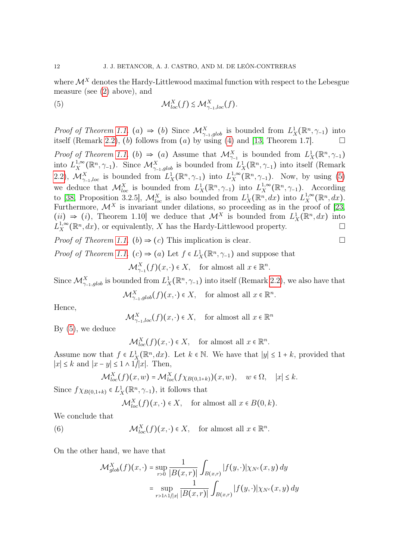where  $\mathcal{M}^X$  denotes the Hardy-Littlewood maximal function with respect to the Lebesgue measure (see [\(2\)](#page-4-0) above), and

<span id="page-11-0"></span>(5) 
$$
\mathcal{M}_{loc}^X(f) \lesssim \mathcal{M}_{\gamma_{-1},loc}^X(f).
$$

*Proof of Theorem [1.1.](#page-5-1)* (a)  $\Rightarrow$  (b) Since  $\mathcal{M}_{\gamma_{-1},glob}^X$  is bounded from  $L_X^1(\mathbb{R}^n, \gamma_{-1})$  into itself (Remark [2.2\)](#page-8-1), (b) follows from  $(a)$  by using  $(4)$  and  $[13,$  Theorem 1.7].

Proof of Theorem [1.1.](#page-5-1) (b)  $\Rightarrow$  (a) Assume that  $\mathcal{M}_{\gamma_{-1}}^X$  is bounded from  $L^1_X(\mathbb{R}^n, \gamma_{-1})$ into  $L_X^{1,\infty}$ <sup>1,∞</sup>( $\mathbb{R}^n$ ,  $\gamma$ <sub>-1</sub>). Since  $\mathcal{M}^X_{\gamma_{-1}, glob}$  is bounded from  $L^1_X(\mathbb{R}^n, \gamma_{-1})$  into itself (Remark [2.2\)](#page-8-1),  $\mathcal{M}_{\gamma_{-1},loc}^X$  is bounded from  $L_X^1(\mathbb{R}^n, \gamma_{-1})$  into  $L_X^{1,\infty}$  $X^{1,\infty}_X(\mathbb{R}^n, \gamma_{-1})$ . Now, by using [\(5\)](#page-11-0) we deduce that  $\mathcal{M}_{loc}^X$  is bounded from  $L^1_X(\mathbb{R}^n, \gamma)$  into  $L^{1,\infty}_X$  $_{X}^{1,\infty}(\mathbb{R}^n, \gamma_{-1})$ . According to [\[38,](#page-35-11) Proposition 3.2.5],  $\mathcal{M}_{loc}^X$  is also bounded from  $L^1_X(\mathbb{R}^n,dx)$  into  $L^{1,\infty}_X$  $L_X^{1,\infty}(\mathbb{R}^n,dx).$ Furthermore,  $\mathcal{M}^X$  is invariant under dilations, so proceeding as in the proof of [\[23,](#page-34-16)  $(ii) \Rightarrow (i)$ , Theorem 1.10 we deduce that  $\mathcal{M}^X$  is bounded from  $L^1_X(\mathbb{R}^n, dx)$  into  $L^{1,\infty}_X$  $X_X^{1,\infty}(\mathbb{R}^n, dx)$ , or equivalently, X has the Hardy-Littlewood property.

*Proof of Theorem [1.1.](#page-5-1)* (b)  $\Rightarrow$  (c) This implication is clear.

*Proof of Theorem [1.1.](#page-5-1)* (*c*)  $\Rightarrow$  (*a*) Let  $f \in L_X^1(\mathbb{R}^n, \gamma_{-1})$  and suppose that  $\mathcal{M}^X_{\gamma_{-1}}(f)(x,\cdot) \in X$ , for almost all  $x \in \mathbb{R}^n$ .

Since  $\mathcal{M}_{\gamma_{-1}, glob}^X$  is bounded from  $L_X^1(\mathbb{R}^n, \gamma_{-1})$  into itself (Remark [2.2\)](#page-8-1), we also have that  $\mathcal{M}_{\gamma_{-1},glob}^X(f)(x, \cdot) \in X$ , for almost all  $x \in \mathbb{R}^n$ .

Hence,

$$
\mathcal{M}^X_{\gamma_{-1},loc}(f)(x,\cdot) \in X, \quad \text{for almost all } x \in \mathbb{R}^n
$$

By [\(5\)](#page-11-0), we deduce

 $\mathcal{M}_{loc}^X(f)(x,\cdot) \in X$ , for almost all  $x \in \mathbb{R}^n$ .

Assume now that  $f \in L^1_X(\mathbb{R}^n, dx)$ . Let  $k \in \mathbb{N}$ . We have that  $|y| \leq 1 + k$ , provided that  $|x|$  ≤ k and  $|x - y|$  ≤ 1 ∧ 1/|x|. Then,

$$
\mathcal{M}_{loc}^X(f)(x,w) = \mathcal{M}_{loc}^X(f\chi_{B(0,1+k)})(x,w), \quad w \in \Omega, \quad |x| \leq k.
$$

Since  $f\chi_{B(0,1+k)} \in L^1_X(\mathbb{R}^n, \gamma_{-1}),$  it follows that

<span id="page-11-1"></span>
$$
\mathcal{M}_{loc}^X(f)(x,\cdot) \in X, \quad \text{for almost all } x \in B(0,k).
$$

We conclude that

(6)  $\mathcal{M}_{loc}^X(f)(x, \cdot) \in X$ , for almost all  $x \in \mathbb{R}^n$ .

On the other hand, we have that

$$
\mathcal{M}_{glob}^X(f)(x, \cdot) = \sup_{r>0} \frac{1}{|B(x,r)|} \int_{B(x,r)} |f(y, \cdot)| \chi_{N^c}(x, y) dy
$$
  
= 
$$
\sup_{r>1 \wedge 1/|x|} \frac{1}{|B(x,r)|} \int_{B(x,r)} |f(y, \cdot)| \chi_{N^c}(x, y) dy
$$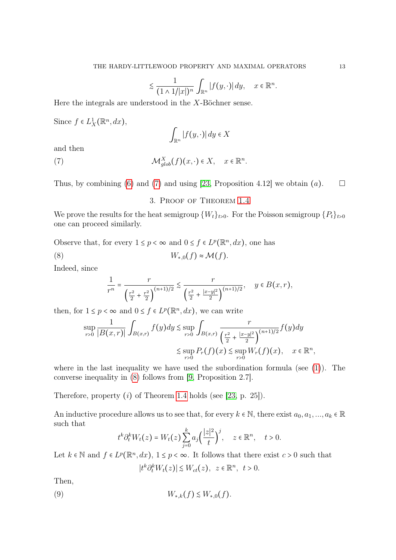$$
\lesssim \frac{1}{(1 \wedge 1/|x|)^n} \int_{\mathbb{R}^n} |f(y, \cdot)| dy, \quad x \in \mathbb{R}^n.
$$

Here the integrals are understood in the X-Böchner sense.

Since  $f \in L_X^1(\mathbb{R}^n, dx)$ ,

<span id="page-12-0"></span>
$$
\int_{\mathbb{R}^n} |f(y, \cdot)| \, dy \in X
$$

and then

(7) 
$$
\mathcal{M}_{glob}^X(f)(x, \cdot) \in X, \quad x \in \mathbb{R}^n.
$$

Thus, by combining [\(6\)](#page-11-1) and [\(7\)](#page-12-0) and using [\[23,](#page-34-16) Proposition 4.12] we obtain (*a*).  $\square$ 

## <span id="page-12-1"></span>3. Proof of Theorem [1.4](#page-7-0)

We prove the results for the heat semigroup  $\{W_t\}_{t>0}$ . For the Poisson semigroup  $\{P_t\}_{t>0}$ one can proceed similarly.

Observe that, for every  $1 \le p < \infty$  and  $0 \le f \in L^p(\mathbb{R}^n, dx)$ , one has (8)  $W_{*,0}(f) \approx \mathcal{M}(f).$ 

Indeed, since

$$
\frac{1}{r^n} = \frac{r}{\left(\frac{r^2}{2} + \frac{r^2}{2}\right)^{(n+1)/2}} \lesssim \frac{r}{\left(\frac{r^2}{2} + \frac{|x-y|^2}{2}\right)^{(n+1)/2}}, \quad y \in B(x, r),
$$

then, for  $1 \leq p < \infty$  and  $0 \leq f \in L^p(\mathbb{R}^n, dx)$ , we can write

$$
\sup_{r>0} \frac{1}{|B(x,r)|} \int_{B(x,r)} f(y) dy \le \sup_{r>0} \int_{B(x,r)} \frac{r}{\left(\frac{r^2}{2} + \frac{|x-y|^2}{2}\right)^{(n+1)/2}} f(y) dy
$$
  

$$
\le \sup_{r>0} P_r(f)(x) \le \sup_{r>0} W_r(f)(x), \quad x \in \mathbb{R}^n,
$$

where in the last inequality we have used the subordination formula (see  $(1)$ ). The converse inequality in [\(8\)](#page-12-1) follows from [\[9,](#page-34-23) Proposition 2.7].

Therefore, property  $(i)$  of Theorem [1.4](#page-7-0) holds (see [\[23,](#page-34-16) p. 25]).

An inductive procedure allows us to see that, for every  $k \in \mathbb{N}$ , there exist  $a_0, a_1, ..., a_k \in \mathbb{R}$ such that

$$
t^k \partial_t^k W_t(z) = W_t(z) \sum_{j=0}^k a_j \left(\frac{|z|^2}{t}\right)^j, \quad z \in \mathbb{R}^n, \quad t > 0.
$$

Let  $k \in \mathbb{N}$  and  $f \in L^p(\mathbb{R}^n, dx)$ ,  $1 \leq p < \infty$ . It follows that there exist  $c > 0$  such that

<span id="page-12-2"></span>
$$
|t^k \partial_t^k W_t(z)| \lesssim W_{ct}(z), \ \ z \in \mathbb{R}^n, \ t > 0.
$$

Then,

$$
(9) \t W_{*,k}(f) \lesssim W_{*,0}(f).
$$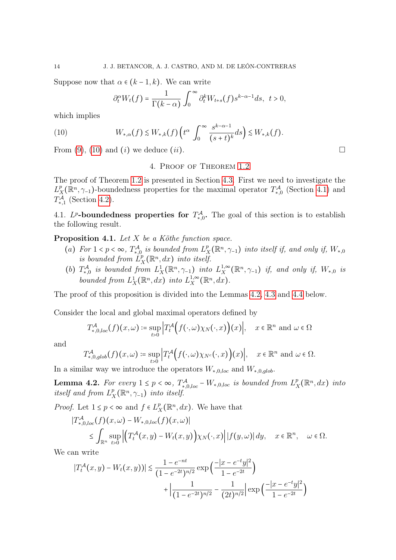Suppose now that  $\alpha \in (k-1,k)$ . We can write

$$
\partial_t^{\alpha} W_t(f) = \frac{1}{\Gamma(k-\alpha)} \int_0^{\infty} \partial_t^k W_{t+s}(f) s^{k-\alpha-1} ds, \ t > 0,
$$

which implies

<span id="page-13-0"></span>(10) 
$$
W_{*,\alpha}(f) \lesssim W_{*,k}(f) \left( t^{\alpha} \int_0^{\infty} \frac{s^{k-\alpha-1}}{(s+t)^k} ds \right) \lesssim W_{*,k}(f).
$$

From [\(9\)](#page-12-2), [\(10\)](#page-13-0) and (*i*) we deduce (*ii*).

## 4. Proof of Theorem [1.2](#page-5-0)

The proof of Theorem [1.2](#page-5-0) is presented in Section [4.3.](#page-30-0) First we need to investigate the  $L^p$  $\chi^p(\mathbb{R}^n, \gamma)$ -boundedness properties for the maximal operator  $T^{\mathcal{A}}_{*,0}$  (Section [4.1\)](#page-13-1) and  $T^{\mathcal{A}}_{*,1}$  (Section [4.2\)](#page-18-0).

<span id="page-13-1"></span>4.1. L<sup>p</sup>-boundedness properties for  $T^{\mathcal{A}}_{*,0}$ . The goal of this section is to establish the following result.

<span id="page-13-3"></span>**Proposition 4.1.** Let  $X$  be a Köthe function space.

- (a) For  $1 < p < \infty$ ,  $T_{*,0}^{\mathcal{A}}$  is bounded from  $L_{\mathcal{I}}^{p}$  $\chi^p_{X}(\mathbb{R}^n, \gamma_{-1})$  into itself if, and only if,  $W_{*,0}$ is bounded from  $\ddot{L}_y^p$  $X_X^p(\mathbb{R}^n,dx)$  into itself.
- (b)  $T^{\mathcal{A}}_{*,0}$  is bounded from  $L^1_X(\mathbb{R}^n, \gamma)$  into  $L^{1,\infty}_X$  $X^{1,\infty}_X(\mathbb{R}^n, \gamma_{-1})$  if, and only if,  $W_{*,0}$  is bounded from  $L_X^1(\mathbb{R}^n, dx)$  into  $L_X^{1,\infty}$  $X^{1,\infty}(\mathbb{R}^n,dx).$

The proof of this proposition is divided into the Lemmas [4.2,](#page-13-2) [4.3](#page-16-0) and [4.4](#page-16-1) below.

Consider the local and global maximal operators defined by

$$
T_{*,0,loc}^{\mathcal{A}}(f)(x,\omega) \coloneqq \sup_{t>0} \left| T_t^{\mathcal{A}}\Big(f(\cdot,\omega)\chi_N(\cdot,x)\Big)(x) \right|, \quad x \in \mathbb{R}^n \text{ and } \omega \in \Omega
$$

and

$$
T_{*,0,glob}^{\mathcal{A}}(f)(x,\omega) \coloneqq \sup_{t>0} \Big| T_t^{\mathcal{A}}\Big(f(\cdot,\omega)\chi_{N^c}(\cdot,x)\Big)(x)\Big|, \quad x \in \mathbb{R}^n \text{ and } \omega \in \Omega.
$$

In a similar way we introduce the operators  $W_{*,0,loc}$  and  $W_{*,0,glob}$ .

<span id="page-13-2"></span>**Lemma 4.2.** For every  $1 \leq p < \infty$ ,  $T^{\mathcal{A}}_{*,0,loc} - W_{*,0,loc}$  is bounded from  $L^p_{\mathcal{I}}$  $\frac{p}{X}(\mathbb{R}^n, dx)$  into itself and from  $L^p_{\lambda}$  $X^p_X(\mathbb{R}^n, \gamma_{-1})$  into itself.

*Proof.* Let  $1 \leq p < \infty$  and  $f \in L^p$  $X_X^p(\mathbb{R}^n, dx)$ . We have that

$$
\begin{aligned} \left|T_{*,0,loc}^{\mathcal{A}}(f)(x,\omega)-W_{*,0,loc}(f)(x,\omega)\right|\\ &\leq \int_{\mathbb{R}^n} \sup_{t>0} \left| \left(T_t^{\mathcal{A}}(x,y)-W_t(x,y)\right)\chi_N(\cdot,x)\right| |f(y,\omega)| dy,\quad x\in\mathbb{R}^n,\quad \omega\in\Omega. \end{aligned}
$$

We can write

$$
|T_t^{\mathcal{A}}(x,y) - W_t(x,y))| \lesssim \frac{1 - e^{-nt}}{(1 - e^{-2t})^{n/2}} \exp\left(\frac{-|x - e^{-t}y|^2}{1 - e^{-2t}}\right) + \left|\frac{1}{(1 - e^{-2t})^{n/2}} - \frac{1}{(2t)^{n/2}}\right| \exp\left(\frac{-|x - e^{-t}y|^2}{1 - e^{-2t}}\right)
$$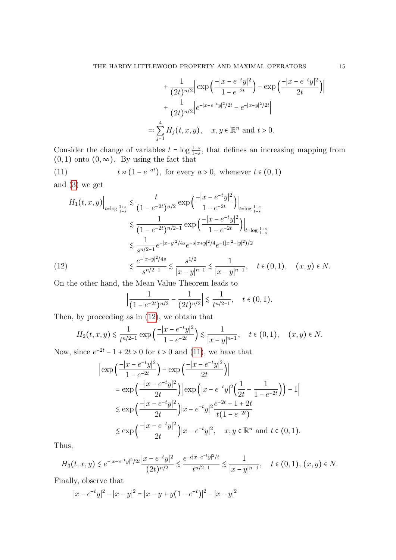$$
+\frac{1}{(2t)^{n/2}} \Big| \exp\Big(\frac{-|x - e^{-t}y|^2}{1 - e^{-2t}}\Big) - \exp\Big(\frac{-|x - e^{-t}y|^2}{2t}\Big) \Big|
$$
  
+ 
$$
\frac{1}{(2t)^{n/2}} \Big| e^{-|x - e^{-t}y|^2/2t} - e^{-|x - y|^2/2t} \Big|
$$
  
=: 
$$
\sum_{j=1}^4 H_j(t, x, y), \quad x, y \in \mathbb{R}^n \text{ and } t > 0.
$$

Consider the change of variables  $t = \log \frac{1+s}{1-s}$ , that defines an increasing mapping from  $(0, 1)$  onto  $(0, \infty)$ . By using the fact that

<span id="page-14-1"></span>(11) 
$$
t \approx (1 - e^{-at})
$$
, for every  $a > 0$ , whenever  $t \in (0, 1)$   
and (3) we get

$$
H_{1}(t, x, y)\Big|_{t=\log\frac{1+s}{1-s}} \lesssim \frac{t}{(1-e^{-2t})^{n/2}} \exp\left(\frac{-|x-e^{-t}y|^{2}}{1-e^{-2t}}\right)\Big|_{t=\log\frac{1+s}{1-s}}
$$
  

$$
\lesssim \frac{1}{(1-e^{-2t})^{n/2-1}} \exp\left(\frac{-|x-e^{-t}y|^{2}}{1-e^{-2t}}\right)\Big|_{t=\log\frac{1+s}{1-s}}
$$
  

$$
\lesssim \frac{1}{s^{n/2-1}}e^{-|x-y|^{2}/4s}e^{-s|x+y|^{2}/4}e^{-(|x|^{2}-|y|^{2})/2}
$$
  
(12)  

$$
\lesssim \frac{e^{-|x-y|^{2}/4s}}{s^{n/2-1}} \lesssim \frac{s^{1/2}}{|x-y|^{n-1}} \lesssim \frac{1}{|x-y|^{n-1}}, \quad t \in (0,1), \quad (x,y) \in N.
$$

<span id="page-14-0"></span>On the other hand, the Mean Value Theorem leads to

$$
\left|\frac{1}{(1-e^{-2t})^{n/2}} - \frac{1}{(2t)^{n/2}}\right| \lesssim \frac{1}{t^{n/2-1}}, \quad t \in (0,1).
$$

Then, by proceeding as in [\(12\)](#page-14-0), we obtain that

$$
H_2(t, x, y) \lesssim \frac{1}{t^{n/2 - 1}} \exp\left(\frac{-|x - e^{-t}y|^2}{1 - e^{-2t}}\right) \lesssim \frac{1}{|x - y|^{n - 1}}, \quad t \in (0, 1), \quad (x, y) \in N.
$$

Now, since  $e^{-2t} - 1 + 2t > 0$  for  $t > 0$  and [\(11\)](#page-14-1), we have that

$$
\begin{split} \left| \exp\left(\frac{-|x - e^{-t}y|^2}{1 - e^{-2t}}\right) - \exp\left(\frac{-|x - e^{-t}y|^2}{2t}\right) \right| \\ &= \exp\left(\frac{-|x - e^{-t}y|^2}{2t}\right) \left| \exp\left(|x - e^{-t}y|^2\left(\frac{1}{2t} - \frac{1}{1 - e^{-2t}}\right)\right) - 1 \right| \\ &\lesssim \exp\left(\frac{-|x - e^{-t}y|^2}{2t}\right) |x - e^{-t}y|^2 \frac{e^{-2t} - 1 + 2t}{t(1 - e^{-2t})} \\ &\lesssim \exp\left(\frac{-|x - e^{-t}y|^2}{2t}\right) |x - e^{-t}y|^2, \quad x, y \in \mathbb{R}^n \text{ and } t \in (0, 1). \end{split}
$$

Thus,

$$
H_3(t, x, y) \lesssim e^{-|x - e^{-t}y|^2/2t} \frac{|x - e^{-t}y|^2}{(2t)^{n/2}} \lesssim \frac{e^{-c|x - e^{-t}y|^2/t}}{t^{n/2 - 1}} \lesssim \frac{1}{|x - y|^{n - 1}}, \quad t \in (0, 1), (x, y) \in N.
$$

Finally, observe that

$$
|x - e^{-t}y|^2 - |x - y|^2 = |x - y + y(1 - e^{-t})|^2 - |x - y|^2
$$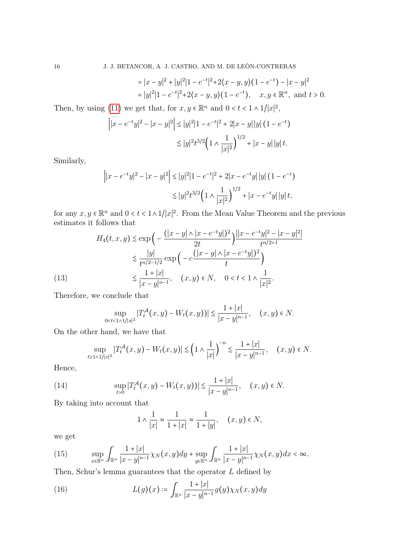16 J. J. BETANCOR, A. J. CASTRO, AND M. DE LEÓN-CONTRERAS

$$
= |x - y|^2 + |y|^2 |1 - e^{-t}|^2 + 2\langle x - y, y \rangle (1 - e^{-t}) - |x - y|^2
$$
  
= |y|^2 |1 - e^{-t}|^2 + 2\langle x - y, y \rangle (1 - e^{-t}), \quad x, y \in \mathbb{R}^n, \text{ and } t > 0.

Then, by using [\(11\)](#page-14-1) we get that, for  $x, y \in \mathbb{R}^n$  and  $0 < t < 1 \wedge 1/|x|^2$ ,

$$
\left| |x - e^{-t}y|^2 - |x - y|^2 \right| \le |y|^2 |1 - e^{-t}|^2 + 2|x - y| |y| (1 - e^{-t})
$$
  

$$
\lesssim |y|^2 t^{3/2} \Big( 1 \wedge \frac{1}{|x|^2} \Big)^{1/2} + |x - y| |y| t.
$$

Similarly,

$$
\left| |x - e^{-t}y|^2 - |x - y|^2 \right| \le |y|^2 |1 - e^{-t}|^2 + 2|x - e^{-t}y| |y| (1 - e^{-t})
$$
  

$$
\lesssim |y|^2 t^{3/2} \left( 1 + \frac{1}{|x|^2} \right)^{1/2} + |x - e^{-t}y| |y| t,
$$

for any  $x, y \in \mathbb{R}^n$  and  $0 < t < 1 \wedge 1/|x|^2$ . From the Mean Value Theorem and the previous estimates it follows that

(13) 
$$
H_4(t, x, y) \lesssim \exp\left(-\frac{(|x-y| \wedge |x-e^{-t}y|)^2}{2t}\right) \frac{||x-e^{-t}y||^2 - |x-y|^2|}{t^{n/2+1}}
$$

$$
\lesssim \frac{|y|}{t^{n/2-1/2}} \exp\left(-c \frac{(|x-y| \wedge |x-e^{-t}y|)^2}{t}\right)
$$

$$
\lesssim \frac{1+|x|}{|x-y|^{n-1}}, \quad (x, y) \in N, \quad 0 < t < 1 \wedge \frac{1}{|x|^2}.
$$

<span id="page-15-0"></span>Therefore, we conclude that

$$
\sup_{0 < t < 1 \land 1/|x|^2} |T_t^{\mathcal{A}}(x, y) - W_t(x, y))| \lesssim \frac{1 + |x|}{|x - y|^{n - 1}}, \quad (x, y) \in N.
$$

On the other hand, we have that

$$
\sup_{t \ge 1 \wedge 1/|x|^2} |T_t^{\mathcal{A}}(x, y) - W_t(x, y)| \lesssim \left(1 \wedge \frac{1}{|x|}\right)^{-n} \lesssim \frac{1 + |x|}{|x - y|^{n-1}}, \quad (x, y) \in N.
$$

Hence,

<span id="page-15-3"></span>(14) 
$$
\sup_{t>0} |T_t^{\mathcal{A}}(x,y)-W_t(x,y))| \lesssim \frac{1+|x|}{|x-y|^{n-1}}, \quad (x,y) \in N.
$$

By taking into account that

<span id="page-15-1"></span>
$$
1 \wedge \frac{1}{|x|} \approx \frac{1}{1+|x|} \approx \frac{1}{1+|y|}, \quad (x, y) \in N,
$$

we get

<span id="page-15-2"></span>(15) 
$$
\sup_{x \in \mathbb{R}^n} \int_{\mathbb{R}^n} \frac{1+|x|}{|x-y|^{n-1}} \chi_N(x,y) dy + \sup_{y \in \mathbb{R}^n} \int_{\mathbb{R}^n} \frac{1+|x|}{|x-y|^{n-1}} \chi_N(x,y) dx < \infty.
$$

Then, Schur's lemma guarantees that the operator  $L$  defined by

(16) 
$$
L(g)(x) \coloneqq \int_{\mathbb{R}^n} \frac{1+|x|}{|x-y|^{n-1}} g(y) \chi_N(x, y) dy
$$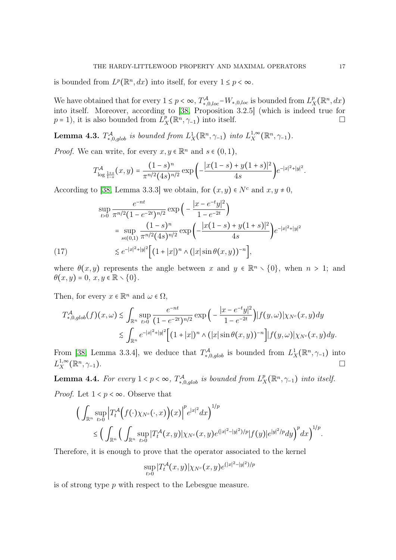is bounded from  $L^p(\mathbb{R}^n, dx)$  into itself, for every  $1 \leq p < \infty$ .

We have obtained that for every  $1 \le p < \infty$ ,  $T^{\mathcal{A}}_{*,0,loc} - W_{*,0,loc}$  is bounded from  $L^p_{\mathcal{I}}$  $R_X^p(\mathbb{R}^n, dx)$ into itself. Moreover, according to [\[38,](#page-35-11) Proposition 3.2.5] (which is indeed true for  $p=1$ , it is also bounded from  $\tilde{L}_y^p$  $\chi^p(X^n, \gamma_{-1})$  into itself.

<span id="page-16-0"></span>**Lemma 4.3.**  $T^{\mathcal{A}}_{*,0,glob}$  is bounded from  $L^1_X(\mathbb{R}^n, \gamma_{-1})$  into  $L^{1,\infty}_X$  $X^{1,\infty}_X(\mathbb{R}^n,\gamma_{-1}).$ 

*Proof.* We can write, for every  $x, y \in \mathbb{R}^n$  and  $s \in (0, 1)$ ,

$$
T_{\log\frac{1+s}{1-s}}^{\mathcal{A}}(x,y)=\frac{(1-s)^n}{\pi^{n/2}(4s)^{n/2}}\exp\bigg(-\frac{|x(1-s)+y(1+s)|^2}{4s}\bigg)e^{-|x|^2+|y|^2}.
$$

According to [\[38,](#page-35-11) Lemma 3.3.3] we obtain, for  $(x, y) \in N^c$  and  $x, y \neq 0$ ,

$$
\sup_{t>0} \frac{e^{-nt}}{\pi^{n/2} (1 - e^{-2t})^{n/2}} \exp\left(-\frac{|x - e^{-t}y|^2}{1 - e^{-2t}}\right)
$$
  
\n
$$
= \sup_{s \in (0,1)} \frac{(1 - s)^n}{\pi^{n/2} (4s)^{n/2}} \exp\left(-\frac{|x(1 - s) + y(1 + s)|^2}{4s}\right) e^{-|x|^2 + |y|^2}
$$
  
\n
$$
\lesssim e^{-|x|^2 + |y|^2} \Big[ (1 + |x|)^n \wedge (|x| \sin \theta(x, y))^{-n} \Big],
$$

<span id="page-16-2"></span>where  $\theta(x, y)$  represents the angle between x and  $y \in \mathbb{R}^n \setminus \{0\}$ , when  $n > 1$ ; and  $\theta(x, y) = 0, x, y \in \mathbb{R} \setminus \{0\}.$ 

Then, for every  $x \in \mathbb{R}^n$  and  $\omega \in \Omega$ ,

$$
T_{*,0,glob}^{\mathcal{A}}(f)(x,\omega) \lesssim \int_{\mathbb{R}^n} \sup_{t>0} \frac{e^{-nt}}{(1-e^{-2t})^{n/2}} \exp \Big(-\frac{|x-e^{-t}y|^2}{1-e^{-2t}}\Big) |f(y,\omega)| \chi_{N^c}(x,y) dy \\ \lesssim \int_{\mathbb{R}^n} e^{-|x|^2+|y|^2} \Big[ (1+|x|)^n \wedge (|x|\sin \theta(x,y))^{-n} \Big] |f(y,\omega)| \chi_{N^c}(x,y) dy.
$$

From [\[38,](#page-35-11) Lemma 3.3.4], we deduce that  $T^{\mathcal{A}}_{*,0,glob}$  is bounded from  $L^1_X(\mathbb{R}^n, \gamma_{-1})$  into  $L^{1,\infty}_X$  $X^{\infty}(\mathbb{R}^n, \gamma_{-1}).$ 

<span id="page-16-1"></span>**Lemma 4.4.** For every  $1 < p < \infty$ ,  $T^{\mathcal{A}}_{*,0,glob}$  is bounded from  $L^p_{\mathcal{I}}$  $X_X^p(\mathbb{R}^n, \gamma_{-1})$  into itself. *Proof.* Let  $1 < p < \infty$ . Observe that

$$
\left(\int_{\mathbb{R}^n} \sup_{t>0} \left| T_t^{\mathcal{A}} \Big(f(\cdot)\chi_{N^c}(\cdot,x)\Big)(x)\right|^p e^{|x|^2} dx\right)^{1/p} \le \left(\int_{\mathbb{R}^n} \left(\int_{\mathbb{R}^n} \sup_{t>0} |T_t^{\mathcal{A}}(x,y)|\chi_{N^c}(x,y) e^{(|x|^2-|y|^2)/p} |f(y)| e^{|y|^2/p} dy\right)^p dx\right)^{1/p}.
$$

Therefore, it is enough to prove that the operator associated to the kernel

$$
\sup_{t>0} |T_t^{\mathcal{A}}(x,y)| \chi_{N^c}(x,y) e^{(|x|^2-|y|^2)/p}
$$

is of strong type p with respect to the Lebesgue measure.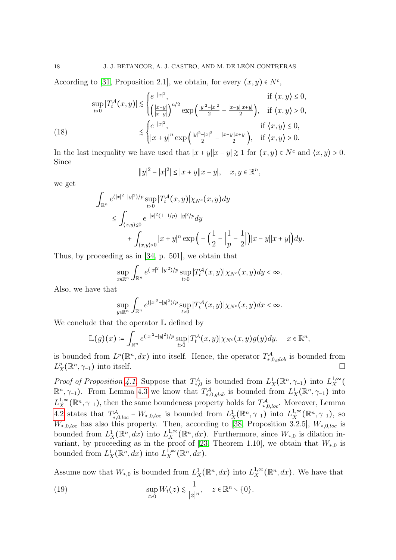According to [\[31,](#page-35-3) Proposition 2.1], we obtain, for every  $(x, y) \in N^c$ ,

(18) 
$$
\sup_{t>0} |T_t^{\mathcal{A}}(x,y)| \lesssim \begin{cases} e^{-|x|^2}, & \text{if } \langle x,y \rangle \leq 0, \\ \left(\frac{|x+y|}{|x-y|}\right)^{n/2} \exp\left(\frac{|y|^2-|x|^2}{2} - \frac{|x-y||x+y|}{2}\right), & \text{if } \langle x,y \rangle > 0, \\ |x+y|^n \exp\left(\frac{|y|^2-|x|^2}{2} - \frac{|x-y||x+y|}{2}\right), & \text{if } \langle x,y \rangle > 0. \end{cases}
$$

<span id="page-17-1"></span>In the last inequality we have used that  $|x + y||x - y| \ge 1$  for  $(x, y) \in N^c$  and  $\langle x, y \rangle > 0$ . Since

$$
||y||^{2} - |x|^{2}|| \le |x + y||x - y|, \quad x, y \in \mathbb{R}^{n},
$$

we get

$$
\int_{\mathbb{R}^n} e^{(|x|^2 - |y|^2)/p} \sup_{t>0} |T_t^{\mathcal{A}}(x, y)| \chi_{N^c}(x, y) dy
$$
\n
$$
\leq \int_{\langle x, y \rangle \leq 0} e^{-|x|^2 (1 - 1/p) - |y|^2/p} dy
$$
\n
$$
+ \int_{\langle x, y \rangle > 0} |x + y|^n \exp\left(-\left(\frac{1}{2} - \left|\frac{1}{p} - \frac{1}{2}\right|\right)|x - y||x + y|\right) dy.
$$

Thus, by proceeding as in [\[34,](#page-35-5) p. 501], we obtain that

$$
\sup_{x\in\mathbb{R}^n}\int_{\mathbb{R}^n}e^{(|x|^2-|y|^2)/p}\sup_{t>0}|T_t^{\mathcal{A}}(x,y)|\chi_{N^c}(x,y)dy<\infty.
$$

Also, we have that

$$
\sup_{y\in\mathbb{R}^n}\int_{\mathbb{R}^n}e^{(|x|^2-|y|^2)/p}\sup_{t>0}|T_t^{\mathcal{A}}(x,y)|\chi_{N^c}(x,y)dx<\infty.
$$

We conclude that the operator  $\mathbb L$  defined by

$$
\mathbb{L}(g)(x) \coloneqq \int_{\mathbb{R}^n} e^{(|x|^2 - |y|^2)/p} \sup_{t>0} |T_t^{\mathcal{A}}(x,y)| \chi_{N^c}(x,y) g(y) dy, \quad x \in \mathbb{R}^n,
$$

is bounded from  $L^p(\mathbb{R}^n, dx)$  into itself. Hence, the operator  $T^{\mathcal{A}}_{*,0,glob}$  is bounded from  $L^p$  $X^p(X^n, \gamma_{-1})$  into itself.

*Proof of Proposition 4.1*. Suppose that  $T^{\mathcal{A}}_{*,0}$  is bounded from  $L^1_X(\mathbb{R}^n, \gamma_{-1})$  into  $L^{1,\infty}_X$  $\binom{1, \infty}{X}$  $\mathbb{R}^n$ ,  $\gamma$ <sub>-1</sub>). From Lemma [4.3](#page-16-0) we know that  $T^{\mathcal{A}}_{*,0,glob}$  is bounded from  $L^1_X(\mathbb{R}^n, \gamma)$  into  $L^{1,\infty}_X$ <sup>1,∞</sup>( $\mathbb{R}^n$ ,  $\gamma$ -1), then the same boundeness property holds for  $T^{\mathcal{A}}_{*,0,loc}$ . Moreover, Lemma [4.2](#page-13-2) states that  $T^{\mathcal{A}}_{*,0,loc} - W_{*,0,loc}$  is bounded from  $L^1_X(\mathbb{R}^n, \gamma_{-1})$  into  $L^{1,\infty}_X$  $X^{1,\infty}_X(\mathbb{R}^n, \gamma_{-1}),$  so  $W_{*,0,loc}$  has also this property. Then, according to [\[38,](#page-35-11) Proposition 3.2.5],  $W_{*,0,loc}$  is bounded from  $L_X^1(\mathbb{R}^n, dx)$  into  $L_X^{1,\infty}$ <sup>1,∞</sup> ( $\mathbb{R}^n$ , *dx*). Furthermore, since  $W_{*,0}$  is dilation in-variant, by proceeding as in the proof of [\[23,](#page-34-16) Theorem 1.10], we obtain that  $W_{*,0}$  is bounded from  $L_X^1(\mathbb{R}^n, dx)$  into  $L_X^{1,\infty}$  $X^{1,\infty}(\mathbb{R}^n,dx).$ 

Assume now that  $W_{*,0}$  is bounded from  $L_X^1(\mathbb{R}^n, dx)$  into  $L_X^{1,\infty}$  $X^{1,\infty}_X(\mathbb{R}^n,dx)$ . We have that

<span id="page-17-0"></span>(19) 
$$
\sup_{t>0} W_t(z) \lesssim \frac{1}{|z|^n}, \quad z \in \mathbb{R}^n \setminus \{0\}.
$$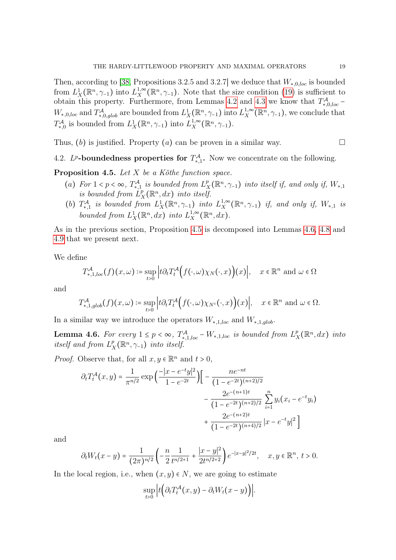Then, according to [\[38,](#page-35-11) Propositions 3.2.5 and 3.2.7] we deduce that  $W_{*,0,loc}$  is bounded from  $L_X^1(\mathbb{R}^n, \gamma_{-1})$  into  $L_X^{1,\infty}$ <sup>1,∞</sup> ( $\mathbb{R}^n$ ,  $\gamma$ <sub>-1</sub>). Note that the size condition [\(19\)](#page-17-0) is sufficient to obtain this property. Furthermore, from Lemmas [4.2](#page-13-2) and [4.3](#page-16-0) we know that  $T^{\mathcal{A}}_{*,0,loc}$  –  $W_{*,0,loc}$  and  $T^{\mathcal{A}}_{*,0,glob}$  are bounded from  $L^1_X(\mathbb{R}^n, \gamma_{-1})$  into  $L^{1,\infty}_X$  $X^{1,\infty}_X(\mathbb{R}^n, \gamma_{-1}),$  we conclude that  $T_{*,0}^{\mathcal{A}}$  is bounded from  $L_X^1(\mathbb{R}^n, \gamma_{-1})$  into  $L_X^{1,\infty}$  $X^{1,\infty}_X(\mathbb{R}^n,\gamma_{-1}).$ 

Thus, (b) is justified. Property (a) can be proven in a similar way.  $\square$ 

<span id="page-18-0"></span>4.2. L<sup>p</sup>-boundedness properties for  $T_{*,1}^{\mathcal{A}}$ . Now we concentrate on the following.

<span id="page-18-1"></span>**Proposition 4.5.** Let  $X$  be a Köthe function space.

- (a) For  $1 < p < \infty$ ,  $T_{*,1}^{\mathcal{A}}$  is bounded from  $L_{\mathcal{I}}^{p}$  $X_X^p(\mathbb{R}^n, \gamma_{-1})$  into itself if, and only if,  $W_{*,1}$ is bounded from  $\overline{L}_3^p$  $\prod_{X}^{p}(\mathbb{R}^n,dx)$  into itself.
- (b)  $T^{\mathcal{A}}_{\ast,1}$  is bounded from  $L^1_X(\mathbb{R}^n, \gamma)$  into  $L^{1,\infty}_X$  $X^{1,\infty}_X(\mathbb{R}^n, \gamma_{-1})$  if, and only if,  $W_{*,1}$  is bounded from  $L_X^1(\mathbb{R}^n, dx)$  into  $L_X^{1,\infty}$  $X^{1,\infty}(\mathbb{R}^n,dx).$

As in the previous section, Proposition [4.5](#page-18-1) is decomposed into Lemmas [4.6,](#page-18-2) [4.8](#page-21-0) and [4.9](#page-27-0) that we present next.

We define

$$
T_{*,1,loc}^{\mathcal{A}}(f)(x,\omega) \coloneqq \sup_{t>0} \left| t \partial_t T_t^{\mathcal{A}} \Big(f(\cdot,\omega)\chi_N(\cdot,x)\Big)(x) \right|, \quad x \in \mathbb{R}^n \text{ and } \omega \in \Omega
$$

and

$$
T^{\mathcal{A}}_{*,1,glob}(f)(x,\omega) \coloneqq \sup_{t>0} \Big| t \partial_t T_t^{\mathcal{A}} \Big(f(\cdot,\omega) \chi_{N^c}(\cdot,x)\Big)(x) \Big|, \quad x \in \mathbb{R}^n \text{ and } \omega \in \Omega.
$$

In a similar way we introduce the operators  $W_{*,1,loc}$  and  $W_{*,1,glob}$ .

<span id="page-18-2"></span>**Lemma 4.6.** For every  $1 \leq p < \infty$ ,  $T_{*,1,loc}^{\mathcal{A}} - W_{*,1,loc}$  is bounded from  $L_{\mathcal{I}}^p$  $\frac{p}{X}(\mathbb{R}^n, dx)$  into itself and from  $L^p$  $X_X^p(\mathbb{R}^n, \gamma_{-1})$  into itself.

*Proof.* Observe that, for all  $x, y \in \mathbb{R}^n$  and  $t > 0$ ,

$$
\partial_t T_t^{\mathcal{A}}(x, y) = \frac{1}{\pi^{n/2}} \exp\left(\frac{-|x - e^{-t}y|^2}{1 - e^{-2t}}\right) \left[ -\frac{ne^{-nt}}{(1 - e^{-2t})^{(n+2)/2}} - \frac{2e^{-(n+1)t}}{(1 - e^{-2t})^{(n+2)/2}} \sum_{i=1}^n y_i (x_i - e^{-t}y_i) + \frac{2e^{-(n+2)t}}{(1 - e^{-2t})^{(n+4)/2}} |x - e^{-t}y|^2 \right]
$$

and

$$
\partial_t W_t(x-y) = \frac{1}{(2\pi)^{n/2}} \left( -\frac{n}{2} \frac{1}{t^{n/2+1}} + \frac{|x-y|^2}{2t^{n/2+2}} \right) e^{-|x-y|^2/2t}, \quad x, y \in \mathbb{R}^n, \ t > 0.
$$

In the local region, i.e., when  $(x, y) \in N$ , we are going to estimate

$$
\sup_{t>0}\Big|t\Big(\partial_tT_t^{\mathcal{A}}(x,y)-\partial_tW_t(x-y)\Big)\Big|.
$$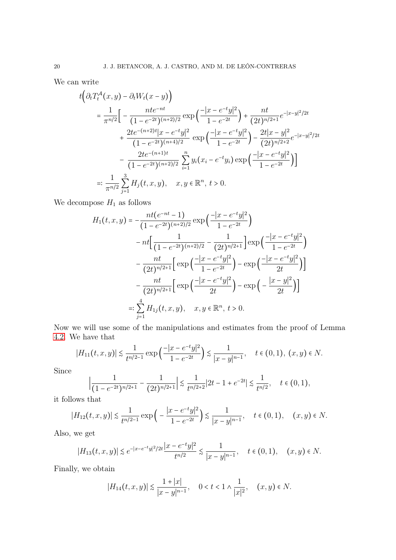We can write

$$
t\left(\partial_t T_t^{\mathcal{A}}(x,y) - \partial_t W_t(x-y)\right)
$$
  
=  $\frac{1}{\pi^{n/2}} \Big[ -\frac{nt e^{-nt}}{(1 - e^{-2t})^{(n+2)/2}} \exp\left(-\frac{|x - e^{-t}y|^2}{1 - e^{-2t}}\right) + \frac{nt}{(2t)^{n/2+1}} e^{-|x-y|^2/2t} + \frac{2te^{-(n+2)t}|x - e^{-t}y|^2}{(1 - e^{-2t})^{(n+4)/2}} \exp\left(-\frac{|x - e^{-t}y|^2}{1 - e^{-2t}}\right) - \frac{2t|x - y|^2}{(2t)^{n/2+2}} e^{-|x-y|^2/2t} - \frac{2te^{-(n+1)t}}{(1 - e^{-2t})^{(n+2)/2}} \sum_{i=1}^n y_i (x_i - e^{-t}y_i) \exp\left(-\frac{|x - e^{-t}y|^2}{1 - e^{-2t}}\right) \Big] =: \frac{1}{\pi^{n/2}} \sum_{j=1}^3 H_j(t, x, y), \quad x, y \in \mathbb{R}^n, t > 0.$ 

We decompose  $\mathcal{H}_1$  as follows

$$
H_1(t, x, y) = -\frac{nt(e^{-nt} - 1)}{(1 - e^{-2t})^{(n+2)/2}} \exp\left(\frac{-|x - e^{-t}y|^2}{1 - e^{-2t}}\right)
$$
  

$$
-nt\left[\frac{1}{(1 - e^{-2t})^{(n+2)/2}} - \frac{1}{(2t)^{n/2+1}}\right] \exp\left(\frac{-|x - e^{-t}y|^2}{1 - e^{-2t}}\right)
$$
  

$$
-\frac{nt}{(2t)^{n/2+1}} \left[\exp\left(\frac{-|x - e^{-t}y|^2}{1 - e^{-2t}}\right) - \exp\left(\frac{-|x - e^{-t}y|^2}{2t}\right)\right]
$$
  

$$
-\frac{nt}{(2t)^{n/2+1}} \left[\exp\left(\frac{-|x - e^{-t}y|^2}{2t}\right) - \exp\left(-\frac{|x - y|^2}{2t}\right)\right]
$$
  

$$
=:\sum_{j=1}^4 H_{1j}(t, x, y), \quad x, y \in \mathbb{R}^n, t > 0.
$$

Now we will use some of the manipulations and estimates from the proof of Lemma [4.2.](#page-13-2) We have that

$$
|H_{11}(t,x,y)| \lesssim \frac{1}{t^{n/2-1}} \exp\left(\frac{-|x - e^{-t}y|^2}{1 - e^{-2t}}\right) \lesssim \frac{1}{|x - y|^{n-1}}, \quad t \in (0,1), (x, y) \in N.
$$

Since

$$
\left|\frac{1}{(1-e^{-2t})^{n/2+1}} - \frac{1}{(2t)^{n/2+1}}\right| \lesssim \frac{1}{t^{n/2+2}}|2t-1+e^{-2t}| \lesssim \frac{1}{t^{n/2}}, \quad t \in (0,1),
$$

it follows that

$$
|H_{12}(t,x,y)| \lesssim \frac{1}{t^{n/2-1}} \exp\left(-\frac{|x-e^{-t}y|^2}{1-e^{-2t}}\right) \lesssim \frac{1}{|x-y|^{n-1}}, \quad t \in (0,1), \quad (x,y) \in N.
$$

Also, we get

$$
|H_{13}(t,x,y)|\lesssim e^{-|x-e^{-t}y|^2/2t}\frac{|x-e^{-t}y|^2}{t^{n/2}}\lesssim \frac{1}{|x-y|^{n-1}},\quad t\in(0,1),\quad (x,y)\in N.
$$

Finally, we obtain

$$
|H_{14}(t,x,y)| \lesssim \frac{1+|x|}{|x-y|^{n-1}}, \quad 0 < t < 1 \land \frac{1}{|x|^2}, \quad (x,y) \in N.
$$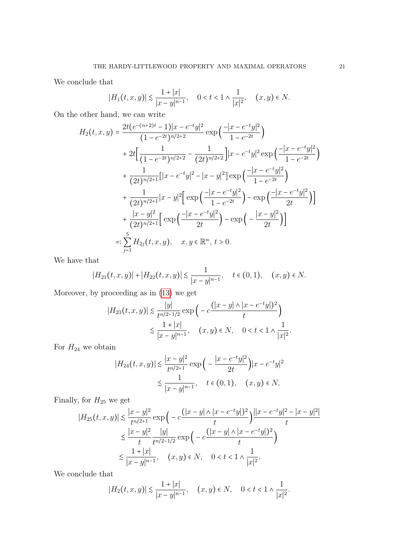We conclude that

$$
|H_1(t, x, y)| \lesssim \frac{1+|x|}{|x-y|^{n-1}}, \quad 0 < t < 1 \wedge \frac{1}{|x|^2}, \quad (x, y) \in N.
$$

On the other hand, we can write

$$
H_2(t, x, y) = \frac{2t(e^{-(n+2)t} - 1)|x - e^{-t}y|^2}{(1 - e^{-2t})^{n/2+2}} \exp\left(\frac{-|x - e^{-t}y|^2}{1 - e^{-2t}}\right)
$$
  
+ 
$$
2t\left[\frac{1}{(1 - e^{-2t})^{n/2+2}} - \frac{1}{(2t)^{n/2+2}}\right]|x - e^{-t}y|^2 \exp\left(\frac{-|x - e^{-t}y|^2}{1 - e^{-2t}}\right)
$$
  
+ 
$$
\frac{1}{(2t)^{n/2+1}}[|x - e^{-t}y|^2 - |x - y|^2] \exp\left(\frac{-|x - e^{-t}y|^2}{1 - e^{-2t}}\right)
$$
  
+ 
$$
\frac{1}{(2t)^{n/2+1}}|x - y|^2 \left[\exp\left(\frac{-|x - e^{-t}y|^2}{1 - e^{-2t}}\right) - \exp\left(\frac{-|x - e^{-t}y|^2}{2t}\right)\right]
$$
  
+ 
$$
\frac{|x - y|^2}{(2t)^{n/2+1}}\left[\exp\left(\frac{-|x - e^{-t}y|^2}{2t}\right) - \exp\left(-\frac{|x - y|^2}{2t}\right)\right]
$$
  
=: 
$$
\sum_{j=1}^5 H_{2j}(t, x, y), \quad x, y \in \mathbb{R}^n, t > 0.
$$

We have that

$$
|H_{21}(t,x,y)|+|H_{22}(t,x,y)|\lesssim \frac{1}{|x-y|^{n-1}},\quad t\in (0,1),\quad (x,y)\in N.
$$

Moreover, by proceeding as in [\(13\)](#page-15-0) we get

$$
|H_{23}(t,x,y)| \lesssim \frac{|y|}{t^{n/2-1/2}} \exp\left(-c\frac{(|x-y| \wedge |x-e^{-t}y|)^2}{t}\right)
$$
  

$$
\lesssim \frac{1+|x|}{|x-y|^{n-1}}, \quad (x,y) \in N, \quad 0 < t < 1 \wedge \frac{1}{|x|^2}.
$$

For  $H_{24}$  we obtain

$$
|H_{24}(t, x, y)| \lesssim \frac{|x - y|^2}{t^{n/2 + 1}} \exp\left(-\frac{|x - e^{-t}y|^2}{2t}\right) |x - e^{-t}y|^2
$$
  

$$
\lesssim \frac{1}{|x - y|^{n-1}}, \quad t \in (0, 1), \quad (x, y) \in N.
$$

Finally, for  $H_{25}$  we get

$$
|H_{25}(t,x,y)| \lesssim \frac{|x-y|^2}{t^{n/2+1}} \exp\Big(-c\frac{(|x-y| \wedge |x-e^{-t}y|)^2}{t}\Big) \frac{||x-e^{-t}y|^2 - |x-y|^2|}{t}
$$
  

$$
\lesssim \frac{|x-y|^2}{t} \frac{|y|}{t^{n/2-1/2}} \exp\Big(-c\frac{(|x-y| \wedge |x-e^{-t}y|)^2}{t}\Big)
$$
  

$$
\lesssim \frac{1+|x|}{|x-y|^{n-1}}, \quad (x,y) \in N, \quad 0 < t < 1 \wedge \frac{1}{|x|^2}.
$$

We conclude that

$$
|H_2(t, x, y)| \lesssim \frac{1+|x|}{|x-y|^{n-1}}, \quad (x, y) \in N, \quad 0 < t < 1 \wedge \frac{1}{|x|^2}.
$$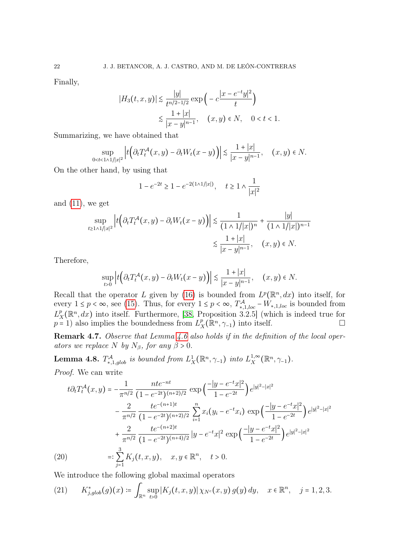Finally,

$$
|H_3(t, x, y)| \lesssim \frac{|y|}{t^{n/2 - 1/2}} \exp\left(-c \frac{|x - e^{-t}y|^2}{t}\right)
$$
  

$$
\lesssim \frac{1 + |x|}{|x - y|^{n - 1}}, \quad (x, y) \in N, \quad 0 < t < 1.
$$

Summarizing, we have obtained that

$$
\sup_{0
$$

On the other hand, by using that

$$
1 - e^{-2t} \ge 1 - e^{-2(1 \wedge 1/|x|)}, \quad t \ge 1 \wedge \frac{1}{|x|^2}
$$

and  $(11)$ , we get

$$
\sup_{t \ge 1 \wedge 1/|x|^2} \left| t \left( \partial_t T_t^{\mathcal{A}}(x, y) - \partial_t W_t(x - y) \right) \right| \lesssim \frac{1}{(1 \wedge 1/|x|)^n} + \frac{|y|}{(1 \wedge 1/|x|)^{n-1}}
$$

$$
\lesssim \frac{1 + |x|}{|x - y|^{n-1}}, \quad (x, y) \in N.
$$

Therefore,

$$
\sup_{t>0}\left|t\Big(\partial_tT_t^{\mathcal{A}}(x,y)-\partial_tW_t(x-y)\Big)\right|\lesssim \frac{1+|x|}{|x-y|^{n-1}},\quad (x,y)\in N.
$$

Recall that the operator L given by [\(16\)](#page-15-1) is bounded from  $L^p(\mathbb{R}^n, dx)$  into itself, for every  $1 \leq p < \infty$ , see [\(15\)](#page-15-2). Thus, for every  $1 \leq p < \infty$ ,  $T_{*,1,loc}^{\mathcal{A}} - W_{*,1,loc}$  is bounded from  $L^p$  $X^p(X^{n}, dx)$  into itself. Furthermore, [\[38,](#page-35-11) Proposition 3.2.5] (which is indeed true for  $p = 1$ ) also implies the boundedness from  $L_2^p$  $X^p_X(\mathbb{R}^n, \gamma_{-1})$  into itself.

Remark 4.7. Observe that Lemma [4.6](#page-18-2) also holds if in the definition of the local operators we replace N by  $N_{\beta}$ , for any  $\beta > 0$ .

<span id="page-21-0"></span>**Lemma 4.8.**  $T^{\mathcal{A}}_{*,1,glob}$  is bounded from  $L^1_X(\mathbb{R}^n, \gamma_{-1})$  into  $L^{1,\infty}_X$  $X^{1,\infty}_X(\mathbb{R}^n,\gamma_{-1}).$ Proof. We can write

$$
t\partial_t T_t^{\mathcal{A}}(x,y) = -\frac{1}{\pi^{n/2}} \frac{nte^{-nt}}{(1 - e^{-2t})^{(n+2)/2}} \exp\left(\frac{-|y - e^{-t}x|^2}{1 - e^{-2t}}\right) e^{|y|^2 - |x|^2}
$$

$$
-\frac{2}{\pi^{n/2}} \frac{te^{-(n+1)t}}{(1 - e^{-2t})^{(n+2)/2}} \sum_{i=1}^n x_i (y_i - e^{-t}x_i) \exp\left(\frac{-|y - e^{-t}x|^2}{1 - e^{-2t}}\right) e^{|y|^2 - |x|^2}
$$

$$
+\frac{2}{\pi^{n/2}} \frac{te^{-(n+2)t}}{(1 - e^{-2t})^{(n+4)/2}} |y - e^{-t}x|^2 \exp\left(\frac{-|y - e^{-t}x|^2}{1 - e^{-2t}}\right) e^{|y|^2 - |x|^2}
$$

$$
=: \sum_{j=1}^3 K_j(t, x, y), \quad x, y \in \mathbb{R}^n, \quad t > 0.
$$

<span id="page-21-2"></span>We introduce the following global maximal operators

<span id="page-21-1"></span>
$$
(21) \qquad K_{j,glob}^*(g)(x) \coloneqq \int_{\mathbb{R}^n} \sup_{t>0} |K_j(t,x,y)| \, \chi_{N^c}(x,y) \, g(y) \, dy, \quad x \in \mathbb{R}^n, \quad j=1,2,3.
$$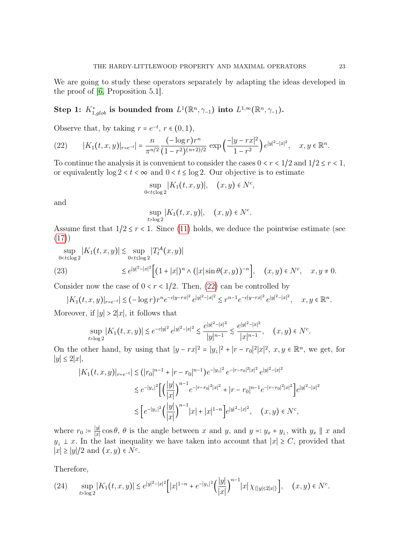We are going to study these operators separately by adapting the ideas developed in the proof of [\[6,](#page-34-15) Proposition 5.1].

# Step 1:  $K_{1,glob}^*$  is bounded from  $L^1(\mathbb{R}^n, \gamma_{-1})$  into  $L^{1,\infty}(\mathbb{R}^n, \gamma_{-1})$ .

Observe that, by taking  $r = e^{-t}$ ,  $r \in (0, 1)$ ,

<span id="page-22-0"></span>(22) 
$$
|K_1(t,x,y)|_{r=e^{-t}} = \frac{n}{\pi^{n/2}} \frac{(-\log r)r^n}{(1-r^2)^{(n+2)/2}} \exp\left(\frac{-|y-rx|^2}{1-r^2}\right) e^{|y|^2-|x|^2}, \quad x, y \in \mathbb{R}^n.
$$

To continue the analysis it is convenient to consider the cases  $0 < r < 1/2$  and  $1/2 \le r < 1$ , or equivalently  $\log 2 < t < \infty$  and  $0 < t \le \log 2$ . Our objective is to estimate

$$
\sup_{0
$$

and

$$
\sup_{t>\log 2}|K_1(t,x,y)|, \quad (x,y)\in N^c.
$$

Assume first that  $1/2 \le r < 1$ . Since [\(11\)](#page-14-1) holds, we deduce the pointwise estimate (see [\(17\)](#page-16-2))

<span id="page-22-1"></span>
$$
\sup_{0 < t \le \log 2} |K_1(t, x, y)| \lesssim \sup_{0 < t \le \log 2} |T_t^{\mathcal{A}}(x, y)|
$$
  
(23) 
$$
\lesssim e^{|y|^2 - |x|^2} \Big[ (1 + |x|)^n \wedge (|x| \sin \theta(x, y))^{-n} \Big], \quad (x, y) \in N^c, \quad x, y \neq 0.
$$

Consider now the case of  $0 < r < 1/2$ . Then, [\(22\)](#page-22-0) can be controlled by

$$
|K_1(t,x,y)|_{r=e^{-t}}| \lesssim (-\log r)r^n e^{-c|y-rx|^2} e^{|y|^2-|x|^2} \lesssim r^{n-1} e^{-c|y-rx|^2} e^{|y|^2-|x|^2}, \quad x, y \in \mathbb{R}^n.
$$

Moreover, if  $|y| > 2|x|$ , it follows that

$$
\sup_{t>\log 2}|K_1(t,x,y)| \lesssim e^{-c|y|^2} \, e^{|y|^2-|x|^2} \lesssim \frac{e^{|y|^2-|x|^2}}{|y|^{n-1}} \lesssim \frac{e^{|y|^2-|x|^2}}{|x|^{n-1}}, \quad (x,y) \in N^c.
$$

On the other hand, by using that  $|y - rx|^2 = |y_\perp|^2 + |r - r_0|^2 |x|^2$ ,  $x, y \in \mathbb{R}^n$ , we get, for ∣y∣ ≤ 2∣x∣,

$$
|K_1(t, x, y)|_{r=e^{-t}}| \lesssim (|r_0|^{n-1} + |r - r_0|^{n-1})e^{-|y_1|^2}e^{-|r - r_0|^2|x|^2}e^{|y|^2 - |x|^2}
$$
  

$$
\lesssim e^{-|y_1|^2} \Big[ \Big(\frac{|y|}{|x|}\Big)^{n-1} e^{-|r - r_0|^2|x|^2} + |r - r_0|^{n-1} e^{-|r - r_0|^2|x|^2} \Big]e^{|y|^2 - |x|^2}
$$
  

$$
\lesssim \Big[ e^{-|y_1|^2} \Big(\frac{|y|}{|x|}\Big)^{n-1} |x| + |x|^{1-n} \Big]e^{|y|^2 - |x|^2}, \quad (x, y) \in N^c,
$$

where  $r_0 \coloneqq \frac{|y|}{|x|}$  $\frac{|y|}{|x|}$  cos  $\theta$ ,  $\theta$  is the angle between x and y, and  $y =: y_x + y_y$ , with  $y_x \parallel x$  and  $y_1$  ⊥ x. In the last inequality we have taken into account that  $|x| \ge C$ , provided that  $|x| \ge |y|/2$  and  $(x, y) \in N^c$ .

Therefore,

<span id="page-22-2"></span>
$$
(24) \quad \sup_{t>\log 2} |K_1(t,x,y)| \lesssim e^{|y|^2-|x|^2} \Big[ |x|^{1-n}+e^{-|y_1|^2} \Big(\frac{|y|}{|x|}\Big)^{n-1}|x|\,\chi_{\{|y|\le 2|x|\}}\Big], \quad (x,y)\in N^c.
$$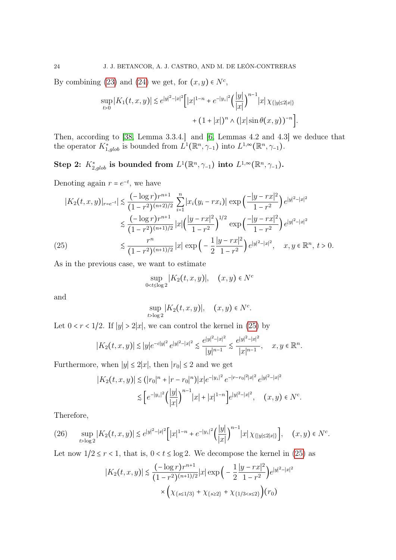By combining [\(23\)](#page-22-1) and [\(24\)](#page-22-2) we get, for  $(x, y) \in N<sup>c</sup>$ ,

$$
\sup_{t>0} |K_1(t, x, y)| \lesssim e^{|y|^2 - |x|^2} \Big[ |x|^{1-n} + e^{-|y_1|^2} \Big( \frac{|y|}{|x|} \Big)^{n-1} |x| \chi_{\{|y| \le 2|x|\}} + (1 + |x|)^n \wedge (|x| \sin \theta(x, y))^{-n} \Big].
$$

Then, according to [\[38,](#page-35-11) Lemma 3.3.4.] and [\[6,](#page-34-15) Lemmas 4.2 and 4.3] we deduce that the operator  $K_{1,glob}^*$  is bounded from  $L^1(\mathbb{R}^n, \gamma_{-1})$  into  $L^{1,\infty}(\mathbb{R}^n, \gamma_{-1})$ .

Step 2:  $K_{2,glob}^*$  is bounded from  $L^1(\mathbb{R}^n, \gamma_{-1})$  into  $L^{1,\infty}(\mathbb{R}^n, \gamma_{-1})$ .

Denoting again  $r = e^{-t}$ , we have

$$
|K_2(t, x, y)|_{r=e^{-t}}| \leq \frac{(-\log r)r^{n+1}}{(1-r^2)^{(n+2)/2}} \sum_{i=1}^n |x_i(y_i - rx_i)| \exp\left(\frac{-|y - rx|^2}{1-r^2}\right) e^{|y|^2 - |x|^2}
$$
  

$$
\leq \frac{(-\log r)r^{n+1}}{(1-r^2)^{(n+1)/2}} |x| \left(\frac{|y - rx|^2}{1-r^2}\right)^{1/2} \exp\left(\frac{-|y - rx|^2}{1-r^2}\right) e^{|y|^2 - |x|^2}
$$
  
(25) 
$$
\leq \frac{r^n}{(1-r^2)^{(n+1)/2}} |x| \exp\left(-\frac{1}{2} \frac{|y - rx|^2}{1-r^2}\right) e^{|y|^2 - |x|^2}, \quad x, y \in \mathbb{R}^n, t > 0.
$$

<span id="page-23-0"></span>As in the previous case, we want to estimate

$$
\sup_{0
$$

and

$$
\sup_{t>\log 2} |K_2(t, x, y)|, \quad (x, y) \in N^c.
$$

Let  $0 < r < 1/2$ . If  $|y| > 2|x|$ , we can control the kernel in [\(25\)](#page-23-0) by

$$
|K_2(t,x,y)| \lesssim |y|e^{-c|y|^2} e^{|y|^2-|x|^2} \lesssim \frac{e^{|y|^2-|x|^2}}{|y|^{n-1}} \lesssim \frac{e^{|y|^2-|x|^2}}{|x|^{n-1}}, \quad x, y \in \mathbb{R}^n.
$$

Furthermore, when  $|y| \leq 2|x|$ , then  $|r_0| \leq 2$  and we get

$$
|K_2(t, x, y)| \lesssim (|r_0|^n + |r - r_0|^n)|x|e^{-|y_\perp|^2} e^{-|r - r_0|^2 |x|^2} e^{|y|^2 - |x|^2}
$$
  

$$
\lesssim \left[ e^{-|y_\perp|^2} \left( \frac{|y|}{|x|} \right)^{n-1} |x| + |x|^{1-n} \right] e^{|y|^2 - |x|^2}, \quad (x, y) \in N^c.
$$

Therefore,

<span id="page-23-1"></span>
$$
(26) \quad \sup_{t>\log 2} |K_2(t,x,y)| \lesssim e^{|y|^2-|x|^2} \Big[ |x|^{1-n}+e^{-|y_1|^2} \Big(\frac{|y|}{|x|}\Big)^{n-1}|x|\,\chi_{\{|y|\le 2|x|\}}\Big], \quad (x,y)\in N^c.
$$

Let now  $1/2 \le r < 1$ , that is,  $0 < t \le \log 2$ . We decompose the kernel in [\(25\)](#page-23-0) as

$$
|K_2(t, x, y)| \lesssim \frac{(-\log r)r^{n+1}}{(1 - r^2)^{(n+1)/2}} |x| \exp\left(-\frac{1}{2} \frac{|y - rx|^2}{1 - r^2}\right) e^{|y|^2 - |x|^2}
$$

$$
\times \left(\chi_{\{s \le 1/3\}} + \chi_{\{s \ge 2\}} + \chi_{\{1/3 < s \le 2\}}\right)(r_0)
$$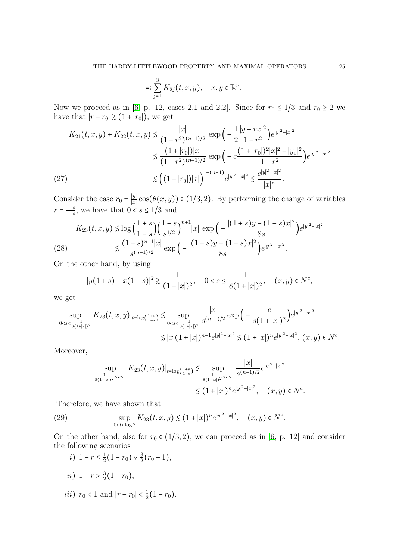$$
=: \sum_{j=1}^{3} K_{2j}(t, x, y), \quad x, y \in \mathbb{R}^{n}.
$$

Now we proceed as in [\[6,](#page-34-15) p. 12, cases 2.1 and 2.2]. Since for  $r_0 \le 1/3$  and  $r_0 \ge 2$  we have that  $|r - r_0| \ge (1 + |r_0|)$ , we get

$$
K_{21}(t, x, y) + K_{22}(t, x, y) \le \frac{|x|}{(1 - r^2)^{(n+1)/2}} \exp\left(-\frac{1}{2} \frac{|y - rx|^2}{1 - r^2}\right) e^{|y|^2 - |x|^2}
$$
  

$$
\le \frac{(1 + |r_0|)|x|}{(1 - r^2)^{(n+1)/2}} \exp\left(-c \frac{(1 + |r_0|)^2 |x|^2 + |y_1|^2}{1 - r^2}\right) e^{|y|^2 - |x|^2}
$$
  
(27)  

$$
\le \left((1 + |r_0|)|x|\right)^{1 - (n+1)} e^{|y|^2 - |x|^2} \le \frac{e^{|y|^2 - |x|^2}}{|x|^n}.
$$

<span id="page-24-2"></span>Consider the case  $r_0 = \frac{|y|}{|x|}$  $\frac{y}{|x|}$  cos(θ(x, y)) ∈ (1/3, 2). By performing the change of variables  $r = \frac{1-s}{1+s}$  $\frac{1-s}{1+s}$ , we have that  $0 < s \leq 1/3$  and

<span id="page-24-0"></span>
$$
K_{23}(t, x, y) \lesssim \log\left(\frac{1+s}{1-s}\right) \left(\frac{1-s}{s^{1/2}}\right)^{n+1} |x| \exp\left(-\frac{|(1+s)y - (1-s)x|^2}{8s}\right) e^{|y|^2 - |x|^2}
$$
  
(28) 
$$
\lesssim \frac{(1-s)^{n+1}|x|}{s^{(n-1)/2}} \exp\left(-\frac{|(1+s)y - (1-s)x|^2}{8s}\right) e^{|y|^2 - |x|^2}.
$$

On the other hand, by using

$$
|y(1+s) - x(1-s)|^2 \ge \frac{1}{(1+|x|)^2}, \quad 0 < s \le \frac{1}{8(1+|x|)^2}, \quad (x, y) \in N^c,
$$

we get

$$
\sup_{0 < s < \frac{1}{8(1+|x|)^2}} K_{23}(t, x, y)|_{t = \log\left(\frac{1+s}{1-s}\right)} \lesssim \sup_{0 < s < \frac{1}{8(1+|x|)^2}} \frac{|x|}{s^{(n-1)/2}} \exp\left(-\frac{c}{s(1+|x|)^2}\right) e^{|y|^2 - |x|^2}
$$
\n
$$
\lesssim |x|(1+|x|)^{n-1} e^{|y|^2 - |x|^2} \lesssim (1+|x|)^n e^{|y|^2 - |x|^2}, \ (x, y) \in N^c.
$$

Moreover,

$$
\sup_{\frac{1}{8(1+|x|)^2} < s < 1} K_{23}(t, x, y)|_{t = \log\left(\frac{1+s}{1-s}\right)} \lesssim \sup_{\frac{1}{8(1+|x|)^2} < s < 1} \frac{|x|}{s^{(n-1)/2}} e^{|y|^2 - |x|^2}
$$
\n
$$
\lesssim (1+|x|)^n e^{|y|^2 - |x|^2}, \quad (x, y) \in N^c.
$$

Therefore, we have shown that

<span id="page-24-1"></span>(29) 
$$
\sup_{0 < t < \log 2} K_{23}(t, x, y) \lesssim (1+|x|)^n e^{|y|^2-|x|^2}, \quad (x, y) \in N^c.
$$

On the other hand, also for  $r_0 \in (1/3, 2)$ , we can proceed as in [\[6,](#page-34-15) p. 12] and consider the following scenarios

- i)  $1 r \leq \frac{1}{2}$  $\frac{1}{2}(1-r_0) \vee \frac{3}{2}$  $\frac{3}{2}(r_0-1),$
- ii)  $1 r > \frac{3}{2}$  $\frac{3}{2}(1-r_0),$
- *iii*)  $r_0 < 1$  and  $|r r_0| < \frac{1}{2}$  $rac{1}{2}(1-r_0).$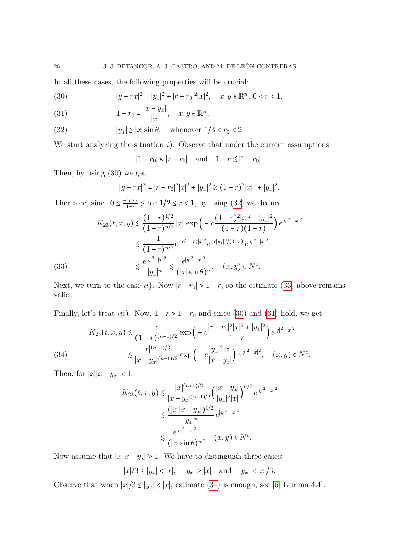In all these cases, the following properties will be crucial:

<span id="page-25-0"></span>(30) 
$$
|y - rx|^2 = |y_\perp|^2 + |r - r_0|^2 |x|^2, \quad x, y \in \mathbb{R}^n, \ 0 < r < 1,
$$

<span id="page-25-3"></span>(31) 
$$
1 - r_0 = \frac{|x - y_x|}{|x|}, \quad x, y \in \mathbb{R}^n,
$$

<span id="page-25-1"></span>(32) 
$$
|y_{\perp}| \ge |x| \sin \theta, \quad \text{whenever } 1/3 < r_0 < 2.
$$

We start analyzing the situation  $i$ ). Observe that under the current assumptions

 $|1 - r_0| \approx |r - r_0|$  and  $1 - r \le |1 - r_0|$ .

Then, by using [\(30\)](#page-25-0) we get

$$
|y - rx|^2 = |r - r_0|^2 |x|^2 + |y_\perp|^2 \ge (1 - r)^2 |x|^2 + |y_\perp|^2.
$$

Therefore, since  $0 \leq \frac{-\log r}{1-r}$  $\frac{\log r}{1-r}$  ≲ for  $1/2 \le r < 1$ , by using [\(32\)](#page-25-1) we deduce

$$
K_{23}(t, x, y) \leq \frac{(1-r)^{1/2}}{(1-r)^{n/2}} |x| \exp\left(-c\frac{(1-r)^{2}|x|^{2}+|y_{\perp}|^{2}}{(1-r)(1+r)}\right) e^{|y|^{2}-|x|^{2}}
$$

$$
\leq \frac{1}{(1-r)^{n/2}} e^{-c(1-r)|x|^{2}} e^{-c|y_{\perp}|^{2}/(1-r)} e^{|y|^{2}-|x|^{2}}
$$

$$
\leq \frac{e^{|y|^{2}-|x|^{2}}}{|y_{\perp}|^{n}} \leq \frac{e^{|y|^{2}-|x|^{2}}}{(|x|\sin\theta)^{n}}, \quad (x, y) \in N^{c}.
$$

<span id="page-25-2"></span>Next, we turn to the case ii). Now  $|r - r_0| \approx 1 - r$ , so the estimate [\(33\)](#page-25-2) above remains valid.

Finally, let's treat *iii*). Now,  $1 - r \approx 1 - r_0$  and since [\(30\)](#page-25-0) and [\(31\)](#page-25-3) hold, we get

<span id="page-25-4"></span>(34) 
$$
K_{23}(t, x, y) \lesssim \frac{|x|}{(1 - r)^{(n-1)/2}} \exp\left(-c\frac{|r - r_0|^2 |x|^2 + |y_\perp|^2}{1 - r}\right) e^{|y|^2 - |x|^2}
$$

$$
\lesssim \frac{|x|^{(n+1)/2}}{|x - y_x|^{(n-1)/2}} \exp\left(-c\frac{|y_\perp|^2 |x|}{|x - y_x|}\right) e^{|y|^2 - |x|^2}, \quad (x, y) \in N^c.
$$

Then, for  $|x||x - y_x| < 1$ ,

$$
K_{23}(t, x, y) \lesssim \frac{|x|^{(n+1)/2}}{|x - y_x|^{(n-1)/2}} \left(\frac{|x - y_x|}{|y_\perp|^2 |x|}\right)^{n/2} e^{|y|^2 - |x|^2}
$$
  

$$
\lesssim \frac{(|x||x - y_x|)^{1/2}}{|y_\perp|^n} e^{|y|^2 - |x|^2}
$$
  

$$
\lesssim \frac{e^{|y|^2 - |x|^2}}{(|x|\sin \theta)^n}, \quad (x, y) \in N^c.
$$

Now assume that  $|x||x - y_x| \ge 1$ . We have to distinguish three cases:

$$
|x|/3 \le |y_x| < |x|
$$
,  $|y_x| \ge |x|$  and  $|y_x| < |x|/3$ .

Observe that when  $|x|/3 \le |y_x| < |x|$ , estimate [\(34\)](#page-25-4) is enough, see [\[6,](#page-34-15) Lemma 4.4].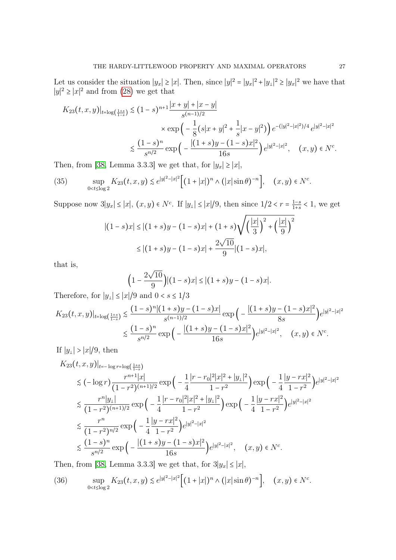Let us consider the situation  $|y_x| \ge |x|$ . Then, since  $|y|^2 = |y_x|^2 + |y_x|^2 \ge |y_x|^2$  we have that  $|y|^2$  ≥  $|x|^2$  and from [\(28\)](#page-24-0) we get that

$$
K_{23}(t,x,y)|_{t=\log\left(\frac{1+s}{1-s}\right)} \lesssim (1-s)^{n+1} \frac{|x+y| + |x-y|}{s^{(n-1)/2}}
$$
  
\$\times \exp\left(-\frac{1}{8}(s|x+y|^2 + \frac{1}{s}|x-y|^2)\right)e^{-(|y|^2 - |x|^2)/4}e^{|y|^2 - |x|^2}  
\$\leq \frac{(1-s)^n}{s^{n/2}} \exp\left(-\frac{|(1+s)y - (1-s)x|^2}{16s}\right)e^{|y|^2 - |x|^2}, \quad (x,y) \in N^c\$.

Then, from [\[38,](#page-35-11) Lemma 3.3.3] we get that, for  $|y_x| \ge |x|$ ,

<span id="page-26-0"></span>(35) 
$$
\sup_{0 < t \le \log 2} K_{23}(t, x, y) \lesssim e^{|y|^2 - |x|^2} \Big[ (1 + |x|)^n \wedge (|x| \sin \theta)^{-n} \Big], \quad (x, y) \in N^c.
$$

Suppose now  $3|y_x| \le |x|$ ,  $(x, y) \in N^c$ . If  $|y_\perp| \le |x|/9$ , then since  $1/2 < r = \frac{1-s}{1+s}$  $\frac{1-s}{1+s}$  < 1, we get √

$$
|(1-s)x| \le |(1+s)y - (1-s)x| + (1+s)\sqrt{\left(\frac{|x|}{3}\right)^2 + \left(\frac{|x|}{9}\right)^2}
$$
  
 
$$
\le |(1+s)y - (1-s)x| + \frac{2\sqrt{10}}{9}|(1-s)x|,
$$

that is,

$$
\left(1 - \frac{2\sqrt{10}}{9}\right) |(1-s)x| \le |(1+s)y - (1-s)x|.
$$

Therefore, for  $|y_\perp| \le |x|/9$  and  $0 < s \le 1/3$ 

$$
K_{23}(t,x,y)|_{t=\log\left(\frac{1+s}{1-s}\right)} \lesssim \frac{(1-s)^n|(1+s)y - (1-s)x|}{s^{(n-1)/2}} \exp\left(-\frac{|(1+s)y - (1-s)x|^2}{8s}\right) e^{|y|^2 - |x|^2} \leq \frac{(1-s)^n}{s^{n/2}} \exp\left(-\frac{|(1+s)y - (1-s)x|^2}{16s}\right) e^{|y|^2 - |x|^2}, \quad (x,y) \in N^c.
$$

If  $|y_\perp| > |x|/9$ , then

$$
K_{23}(t, x, y)|_{t=-\log r = \log\left(\frac{1+s}{1-s}\right)}
$$
  
\n
$$
\leq (-\log r) \frac{r^{n+1}|x|}{(1-r^2)^{(n+1)/2}} \exp\left(-\frac{1}{4} \frac{|r-r_0|^2 |x|^2 + |y_\perp|^2}{1-r^2}\right) \exp\left(-\frac{1}{4} \frac{|y-rx|^2}{1-r^2}\right) e^{|y|^2 - |x|^2}
$$
  
\n
$$
\leq \frac{r^n |y_\perp|}{(1-r^2)^{(n+1)/2}} \exp\left(-\frac{1}{4} \frac{|r-r_0|^2 |x|^2 + |y_\perp|^2}{1-r^2}\right) \exp\left(-\frac{1}{4} \frac{|y-rx|^2}{1-r^2}\right) e^{|y|^2 - |x|^2}
$$
  
\n
$$
\leq \frac{r^n}{(1-r^2)^{n/2}} \exp\left(-\frac{1}{4} \frac{|y-rx|^2}{1-r^2}\right) e^{|y|^2 - |x|^2}
$$
  
\n
$$
\leq \frac{(1-s)^n}{s^{n/2}} \exp\left(-\frac{|(1+s)y - (1-s)x|^2}{16s}\right) e^{|y|^2 - |x|^2}, \quad (x, y) \in N^c.
$$

Then, from [\[38,](#page-35-11) Lemma 3.3.3] we get that, for  $3|y_x| \le |x|$ ,

<span id="page-26-1"></span>(36) 
$$
\sup_{0 < t \le \log 2} K_{23}(t, x, y) \lesssim e^{|y|^2 - |x|^2} \Big[ (1 + |x|)^n \wedge (|x| \sin \theta)^{-n} \Big], \quad (x, y) \in N^c.
$$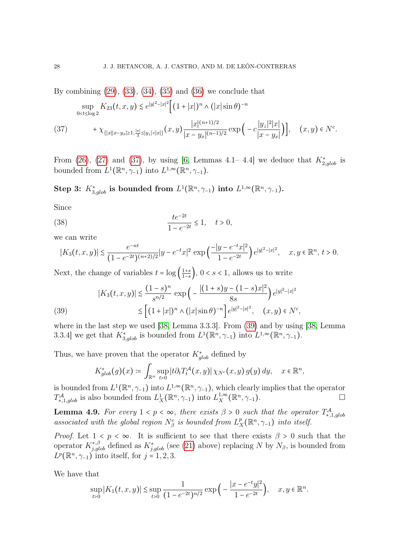By combining  $(29)$ ,  $(33)$ ,  $(34)$ ,  $(35)$  and  $(36)$  we conclude that

<span id="page-27-1"></span>
$$
\sup_{0 < t \le \log 2} K_{23}(t, x, y) \lesssim e^{|y|^2 - |x|^2} \Big[ (1 + |x|)^n \wedge (|x| \sin \theta)^{-n} + \chi_{\{|x\|x - y_x| \ge 1, \frac{|x|}{3} \le |y_1| < |x|\}} (x, y) \frac{|x|^{(n+1)/2}}{|x - y_x|^{(n-1)/2}} \exp\Big(-c \frac{|y_1|^2 |x|}{|x - y_x|}\Big)\Big], \quad (x, y) \in N^c.
$$

From [\(26\)](#page-23-1), [\(27\)](#page-24-2) and [\(37\)](#page-27-1), by using [\[6,](#page-34-15) Lemmas 4.1–4.4] we deduce that  $K_{2,glob}^*$  is bounded from  $L^1(\mathbb{R}^n, \gamma_{-1})$  into  $L^{1,\infty}(\mathbb{R}^n, \gamma_{-1})$ .

Step 3:  $K_{3,glob}^*$  is bounded from  $L^1(\mathbb{R}^n, \gamma_{-1})$  into  $L^{1,\infty}(\mathbb{R}^n, \gamma_{-1})$ .

Since

(38) 
$$
\frac{te^{-2t}}{1 - e^{-2t}} \le 1, \quad t > 0,
$$

we can write

<span id="page-27-3"></span>
$$
|K_3(t, x, y)| \lesssim \frac{e^{-nt}}{(1 - e^{-2t})^{(n+2)/2}} |y - e^{-t}x|^2 \exp\left(\frac{-|y - e^{-t}x|^2}{1 - e^{-2t}}\right) e^{|y|^2 - |x|^2}, \quad x, y \in \mathbb{R}^n, t > 0.
$$

Next, the change of variables  $t = \log \left( \frac{1+s}{1-s} \right)$  $\frac{1+s}{1-s}$ , 0 < s < 1, allows us to write

<span id="page-27-2"></span>(39) 
$$
|K_3(t, x, y)| \lesssim \frac{(1-s)^n}{s^{n/2}} \exp\left(-\frac{|(1+s)y - (1-s)x|^2}{8s}\right) e^{|y|^2 - |x|^2} \lesssim \left[(1+|x|)^n \wedge (|x|\sin\theta)^{-n}\right] e^{|y|^2 - |x|^2}, \quad (x, y) \in N^c,
$$

where in the last step we used [\[38,](#page-35-11) Lemma 3.3.3]. From [\(39\)](#page-27-2) and by using [\[38,](#page-35-11) Lemma 3.3.4] we get that  $K_{3,glob}^*$  is bounded from  $L^1(\mathbb{R}^n, \gamma_{-1})$  into  $L^{1,\infty}(\mathbb{R}^n, \gamma_{-1})$ .

Thus, we have proven that the operator  $K^*_{glob}$  defined by

$$
K_{glob}^*(g)(x) \coloneqq \int_{\mathbb{R}^n} \sup_{t>0} |t \partial_t T_t^{\mathcal{A}}(x,y)| \, \chi_{N^c}(x,y) \, g(y) \, dy, \quad x \in \mathbb{R}^n,
$$

is bounded from  $L^1(\mathbb{R}^n, \gamma_{-1})$  into  $L^{1,\infty}(\mathbb{R}^n, \gamma_{-1})$ , which clearly implies that the operator  $T^{\mathcal{A}}_{*,1,glob}$  is also bounded from  $L^1_X(\mathbb{R}^n, \gamma_{-1})$  into  $L^{1,\infty}_X$  $X^{\frac{1,\infty}{X}}(\mathbb{R}^n, \gamma_{-1}).$ 

<span id="page-27-0"></span>**Lemma 4.9.** For every  $1 < p < \infty$ , there exists  $\beta > 0$  such that the operator  $T^{\mathcal{A}}_{*,1,glob}$ associated with the global region  $N_\beta^c$  is bounded from  $L_\beta^p$  $X_X^p(\mathbb{R}^n, \gamma_{-1})$  into itself.

*Proof.* Let  $1 < p < \infty$ . It is sufficient to see that there exists  $\beta > 0$  such that the operator  $K_{j,glob}^{*,\beta}$  defined as  $K_{j,glob}^{*}$  (see [\(21\)](#page-21-1) above) replacing N by  $N_{\beta}$ , is bounded from  $L^p(\mathbb{R}^n, \gamma_{-1})$  into itself, for  $j = 1, 2, 3$ .

We have that

$$
\sup_{t>0} |K_1(t, x, y)| \lesssim \sup_{t>0} \frac{1}{(1 - e^{-2t})^{n/2}} \exp\Big(-\frac{|x - e^{-t}y|^2}{1 - e^{-2t}}\Big), \quad x, y \in \mathbb{R}^n.
$$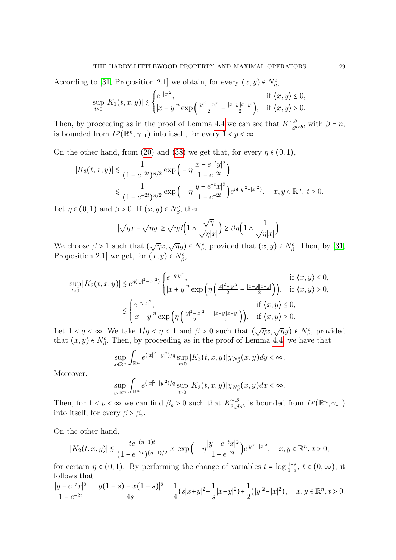According to [\[31,](#page-35-3) Proposition 2.1] we obtain, for every  $(x, y) \in N_n^c$ ,

$$
\sup_{t>0} |K_1(t, x, y)| \lesssim \begin{cases} e^{-|x|^2}, & \text{if } \langle x, y \rangle \le 0, \\ |x + y|^n \exp\left(\frac{|y|^2 - |x|^2}{2} - \frac{|x - y||x + y|}{2}\right), & \text{if } \langle x, y \rangle > 0. \end{cases}
$$

Then, by proceeding as in the proof of Lemma [4.4](#page-16-1) we can see that  $K_{1,glob}^{*, \beta}$ , with  $\beta = n$ , is bounded from  $L^p(\mathbb{R}^n, \gamma_{-1})$  into itself, for every  $1 < p < \infty$ .

On the other hand, from [\(20\)](#page-21-2) and [\(38\)](#page-27-3) we get that, for every  $\eta \in (0,1)$ ,

$$
|K_3(t, x, y)| \lesssim \frac{1}{(1 - e^{-2t})^{n/2}} \exp\left(-\eta \frac{|x - e^{-t}y|^2}{1 - e^{-2t}}\right)
$$
  

$$
\lesssim \frac{1}{(1 - e^{-2t})^{n/2}} \exp\left(-\eta \frac{|y - e^{-t}x|^2}{1 - e^{-2t}}\right) e^{\eta(|y|^2 - |x|^2)}, \quad x, y \in \mathbb{R}^n, t > 0.
$$

Let  $\eta \in (0,1)$  and  $\beta > 0$ . If  $(x, y) \in N_\beta^c$ , then

$$
|\sqrt{\eta}x - \sqrt{\eta}y| \ge \sqrt{\eta}\beta \Big(1 \wedge \frac{\sqrt{\eta}}{\sqrt{\eta}|x|}\Big) \ge \beta \eta \Big(1 \wedge \frac{1}{\sqrt{\eta}|x|}\Big).
$$

We choose  $\beta > 1$  such that  $(\sqrt{\eta}x, \sqrt{\eta}y) \in N_n^c$ , provided that  $(x, y) \in N_\beta^c$ . Then, by [\[31,](#page-35-3) Proposition 2.1] we get, for  $(x, y) \in N_{\beta}^{c}$ ,

$$
\sup_{t>0} |K_3(t, x, y)| \lesssim e^{\eta(|y|^2 - |x|^2)} \begin{cases} e^{-\eta |y|^2}, & \text{if } \langle x, y \rangle \le 0, \\ |x + y|^n \exp\left(\eta \left(\frac{|x|^2 - |y|^2}{2} - \frac{|x - y||x + y|}{2}\right)\right), & \text{if } \langle x, y \rangle > 0, \end{cases}
$$
  

$$
\lesssim \begin{cases} e^{-\eta |x|^2}, & \text{if } \langle x, y \rangle \le 0, \\ |x + y|^n \exp\left(\eta \left(\frac{|y|^2 - |x|^2}{2} - \frac{|x - y||x + y|}{2}\right)\right), & \text{if } \langle x, y \rangle > 0. \end{cases}
$$

Let  $1 < q < \infty$ . We take  $1/q < \eta < 1$  and  $\beta > 0$  such that  $(\sqrt{\eta}x, \sqrt{\eta}y) \in N_n^c$ , provided that  $(x, y) \in N_{\beta}^c$ . Then, by proceeding as in the proof of Lemma [4.4,](#page-16-1) we have that

$$
\sup_{x \in \mathbb{R}^n} \int_{\mathbb{R}^n} e^{(|x|^2 - |y|^2)/q} \sup_{t > 0} |K_3(t, x, y)| \chi_{N_\beta^c}(x, y) dy < \infty.
$$

Moreover,

$$
\sup_{y \in \mathbb{R}^n} \int_{\mathbb{R}^n} e^{(|x|^2 - |y|^2)/q} \sup_{t > 0} |K_3(t, x, y)| \chi_{N_\beta^c}(x, y) dx < \infty.
$$

Then, for  $1 < p < \infty$  we can find  $\beta_p > 0$  such that  $K_{3,glob}^{*,\beta}$  is bounded from  $L^p(\mathbb{R}^n, \gamma_{-1})$ into itself, for every  $\beta > \beta_p$ .

On the other hand,

$$
|K_2(t, x, y)| \lesssim \frac{t e^{-(n+1)t}}{(1 - e^{-2t})^{(n+1)/2}} |x| \exp\left(-\eta \frac{|y - e^{-t}x|^2}{1 - e^{-2t}}\right) e^{|y|^2 - |x|^2}, \quad x, y \in \mathbb{R}^n, \ t > 0,
$$

for certain  $\eta \in (0,1)$ . By performing the change of variables  $t = \log \frac{1+s}{1-s}$ ,  $t \in (0,\infty)$ , it follows that

$$
\frac{|y - e^{-t}x|^2}{1 - e^{-2t}} = \frac{|y(1 + s) - x(1 - s)|^2}{4s} = \frac{1}{4}(s|x + y|^2 + \frac{1}{s}|x - y|^2) + \frac{1}{2}(|y|^2 - |x|^2), \quad x, y \in \mathbb{R}^n, t > 0.
$$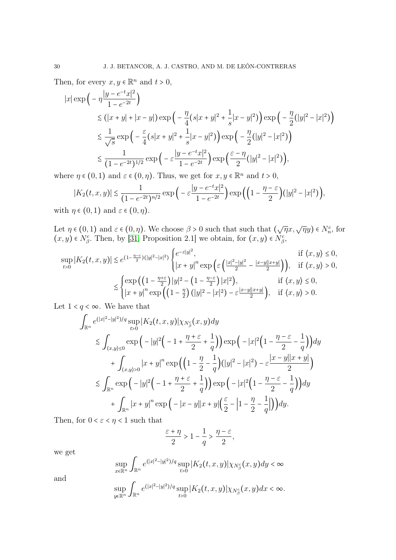Then, for every  $x, y \in \mathbb{R}^n$  and  $t > 0$ ,

$$
|x| \exp\left(-\eta \frac{|y - e^{-t}x|^2}{1 - e^{-2t}}\right)
$$
  
\$\leq (|x + y| + |x - y|) \exp\left(-\frac{\eta}{4}(s|x + y|^2 + \frac{1}{s}|x - y|^2)\right) \exp\left(-\frac{\eta}{2}(|y|^2 - |x|^2)\right)\$  
\$\leq \frac{1}{\sqrt{s}} \exp\left(-\frac{\varepsilon}{4}(s|x + y|^2 + \frac{1}{s}|x - y|^2)\right) \exp\left(-\frac{\eta}{2}(|y|^2 - |x|^2)\right)\$  
\$\leq \frac{1}{(1 - e^{-2t})^{1/2}} \exp\left(-\varepsilon \frac{|y - e^{-t}x|^2}{1 - e^{-2t}}\right) \exp\left(\frac{\varepsilon - \eta}{2}(|y|^2 - |x|^2)\right),\$

where  $\eta \in (0,1)$  and  $\varepsilon \in (0,\eta)$ . Thus, we get for  $x, y \in \mathbb{R}^n$  and  $t > 0$ ,

$$
|K_2(t, x, y)| \lesssim \frac{1}{(1 - e^{-2t})^{n/2}} \exp\Big(-\varepsilon \frac{|y - e^{-t}x|^2}{1 - e^{-2t}}\Big) \exp\Big(\Big(1 - \frac{\eta - \varepsilon}{2}\Big)(|y|^2 - |x|^2)\Big),\tag{9.1}
$$

with  $\eta \in (0,1)$  and  $\varepsilon \in (0,\eta)$ .

Let  $\eta \in (0,1)$  and  $\varepsilon \in (0,\eta)$ . We choose  $\beta > 0$  such that such that  $(\sqrt{\eta}x, \sqrt{\eta}y) \in N_n^c$ , for  $(x, y) \in N_{\beta}^c$ . Then, by [\[31,](#page-35-3) Proposition 2.1] we obtain, for  $(x, y) \in N_{\beta}^c$ ,

$$
\sup_{t>0} |K_2(t, x, y)| \lesssim e^{(1-\frac{\eta-\varepsilon}{2})(|y|^2-|x|^2)} \begin{cases} e^{-\varepsilon|y|^2}, & \text{if } \langle x, y \rangle \le 0, \\ |x+y|^n \exp\left(\varepsilon\left(\frac{|x|^2-|y|^2}{2} - \frac{|x-y||x+y|}{2}\right)\right), & \text{if } \langle x, y \rangle > 0, \end{cases}
$$

$$
\lesssim \begin{cases} \exp\left(\left(1-\frac{\eta+\varepsilon}{2}\right)|y|^2-\left(1-\frac{\eta-\varepsilon}{2}\right)|x|^2\right), & \text{if } \langle x, y \rangle \le 0, \\ |x+y|^n \exp\left(\left(1-\frac{\eta}{2}\right)(|y|^2-|x|^2)-\varepsilon\frac{|x-y||x+y|}{2}\right), & \text{if } \langle x, y \rangle > 0. \end{cases}
$$

Let  $1 < q < \infty$ . We have that

$$
\int_{\mathbb{R}^n} e^{(|x|^2 - |y|^2)/q} \sup_{t>0} |K_2(t, x, y)| \chi_{N_\beta^c}(x, y) dy
$$
\n
$$
\lesssim \int_{(x, y) \le 0} \exp\left(-|y|^2\left(-1 + \frac{\eta + \varepsilon}{2} + \frac{1}{q}\right)\right) \exp\left(-|x|^2\left(1 - \frac{\eta - \varepsilon}{2} - \frac{1}{q}\right)\right) dy
$$
\n
$$
+ \int_{(x, y) > 0} |x + y|^n \exp\left(\left(1 - \frac{\eta}{2} - \frac{1}{q}\right)(|y|^2 - |x|^2) - \varepsilon \frac{|x - y||x + y|}{2}\right)
$$
\n
$$
\lesssim \int_{\mathbb{R}^n} \exp\left(-|y|^2\left(-1 + \frac{\eta + \varepsilon}{2} + \frac{1}{q}\right)\right) \exp\left(-|x|^2\left(1 - \frac{\eta - \varepsilon}{2} - \frac{1}{q}\right)\right) dy
$$
\n
$$
+ \int_{\mathbb{R}^n} |x + y|^n \exp\left(-|x - y||x + y|\left(\frac{\varepsilon}{2} - \left|1 - \frac{\eta}{2} - \frac{1}{q}\right|\right)\right) dy.
$$

Then, for  $0 < \varepsilon < \eta < 1$  such that

$$
\frac{\varepsilon+\eta}{2} > 1-\frac{1}{q} > \frac{\eta-\varepsilon}{2},
$$

we get

$$
\sup_{x\in\mathbb{R}^n}\int_{\mathbb{R}^n}e^{(|x|^2-|y|^2)/q}\sup_{t>0}|K_2(t,x,y)|\chi_{N_\beta^c}(x,y)dy<\infty
$$

and

$$
\sup_{y\in\mathbb{R}^n}\int_{\mathbb{R}^n}e^{(|x|^2-|y|^2)/q}\sup_{t>0}|K_2(t,x,y)|\chi_{N_\beta^c}(x,y)dx<\infty.
$$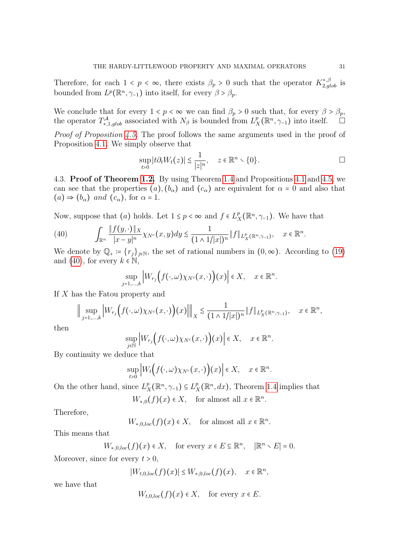Therefore, for each  $1 < p < \infty$ , there exists  $\beta_p > 0$  such that the operator  $K_{2,glob}^{*,\beta}$  is bounded from  $L^p(\mathbb{R}^n, \gamma_{-1})$  into itself, for every  $\beta > \beta_p$ .

We conclude that for every  $1 < p < \infty$  we can find  $\beta_p > 0$  such that, for every  $\beta > \beta_p$ , the operator  $T^{\mathcal{A}}_{*,1,glob}$  associated with  $N_{\beta}$  is bounded from  $L^p_{\beta}$  $X^p_X(\mathbb{R}^n, \gamma_{-1})$  into itself.  $\square$ 

Proof of Proposition [4.5.](#page-18-1) The proof follows the same arguments used in the proof of Proposition [4.1.](#page-13-3) We simply observe that

$$
\sup_{t>0} |t \partial_t W_t(z)| \lesssim \frac{1}{|z|^n}, \quad z \in \mathbb{R}^n \setminus \{0\}.
$$

<span id="page-30-0"></span>4.3. Proof of Theorem [1.2.](#page-5-0) By using Theorem [1.4](#page-7-0) and Propositions [4.1](#page-13-3) and [4.5,](#page-18-1) we can see that the properties  $(a)$ ,  $(b_{\alpha})$  and  $(c_{\alpha})$  are equivalent for  $\alpha = 0$  and also that  $(a) \Rightarrow (b_{\alpha})$  and  $(c_{\alpha})$ , for  $\alpha = 1$ .

Now, suppose that (*a*) holds. Let  $1 \leq p < \infty$  and  $f \in L^p$  $X^p_X(\mathbb{R}^n, \gamma_{-1})$ . We have that

<span id="page-30-1"></span>(40) 
$$
\int_{\mathbb{R}^n} \frac{\|f(y, \cdot)\|_X}{|x - y|^n} \chi_{N^c}(x, y) dy \lesssim \frac{1}{(1 \wedge 1/|x|)^n} \|f\|_{L_X^p(\mathbb{R}^n, \gamma - 1)}, \quad x \in \mathbb{R}^n.
$$

We denote by  $\mathbb{Q}_+ := \{r_j\}_{j\in\mathbb{N}}$ , the set of rational numbers in  $(0,\infty)$ . According to [\(19\)](#page-17-0) and [\(40\)](#page-30-1), for every  $k \in \mathbb{N}$ ,

$$
\sup_{j=1,\ldots,k} \left| W_{r_j}\Big(f(\cdot,\omega)\chi_{N^c}(x,\cdot)\Big)(x)\right| \in X, \quad x \in \mathbb{R}^n.
$$

If X has the Fatou property and

$$
\Big\|\sup_{j=1,\ldots,k}\Big|W_{r_j}\Big(f(\cdot,\omega)\chi_{N^c}(x,\cdot)\Big)(x)\Big|\Big\|_X\lesssim\frac{1}{(1\wedge 1/|x|)^n}\|f\|_{L_X^p(\mathbb{R}^n,\gamma_{-1})},\quad x\in\mathbb{R}^n,
$$

then

$$
\sup_{j\in\mathbb{N}}\Big|W_{r_j}\Big(f(\cdot,\omega)\chi_{N^c}(x,\cdot)\Big)(x)\Big|\in X,\quad x\in\mathbb{R}^n.
$$

By continuity we deduce that

$$
\sup_{t>0} \Big| W_t \Big( f(\cdot, \omega) \chi_{N^c}(x, \cdot) \Big)(x) \Big| \in X, \quad x \in \mathbb{R}^n.
$$

On the other hand, since  $L_3^p$  $_{X}^{p}(\mathbb{R}^{n},\gamma_{-1})\subseteq L_{X}^{p}$  $X(X^p(X; dx))$ , Theorem [1.4](#page-7-0) implies that

$$
W_{*,0}(f)(x) \in X
$$
, for almost all  $x \in \mathbb{R}^n$ .

Therefore,

 $W_{*,0,loc}(f)(x) \in X$ , for almost all  $x \in \mathbb{R}^n$ .

This means that

$$
W_{*,0,loc}(f)(x) \in X
$$
, for every  $x \in E \subseteq \mathbb{R}^n$ ,  $|\mathbb{R}^n \setminus E| = 0$ .

Moreover, since for every  $t > 0$ ,

 $|W_{t,0,loc}(f)(x)| \le W_{*,0,loc}(f)(x), \quad x \in \mathbb{R}^n,$ 

we have that

$$
W_{t,0,loc}(f)(x) \in X
$$
, for every  $x \in E$ .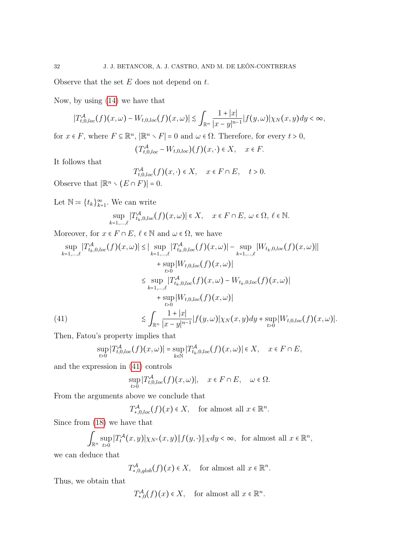Observe that the set  $E$  does not depend on  $t$ .

Now, by using [\(14\)](#page-15-3) we have that

$$
|T_{t,0,loc}^{\mathcal{A}}(f)(x,\omega)-W_{t,0,loc}(f)(x,\omega)|\lesssim \int_{\mathbb{R}^n}\frac{1+|x|}{|x-y|^{n-1}}|f(y,\omega)|\chi_N(x,y)dy<\infty,
$$

for  $x \in F$ , where  $F \subseteq \mathbb{R}^n$ ,  $|\mathbb{R}^n \setminus F| = 0$  and  $\omega \in \Omega$ . Therefore, for every  $t > 0$ ,

$$
(T_{t,0,loc}^{\mathcal{A}} - W_{t,0,loc})(f)(x,\cdot) \in X, \quad x \in F.
$$

It follows that

 $T_{t,0,loc}^{\mathcal{A}}(f)(x,\cdot)\in X$ ,  $x\in F\cap E$ ,  $t>0$ .

Observe that  $|\mathbb{R}^n \setminus (E \cap F)| = 0$ .

Let  $\mathbb{N} \coloneqq \{t_k\}_{k=1}^{\infty}$ . We can write

$$
\sup_{k=1,\ldots,\ell} |T_{t_k,0,loc}^{\mathcal{A}}(f)(x,\omega)| \in X, \quad x \in F \cap E, \ \omega \in \Omega, \ \ell \in \mathbb{N}.
$$

Moreover, for  $x \in F \cap E$ ,  $\ell \in \mathbb{N}$  and  $\omega \in \Omega$ , we have

$$
\sup_{k=1,\dots,\ell} |T_{t_k,0,loc}^{\mathcal{A}}(f)(x,\omega)| \leq |\sup_{k=1,\dots,\ell} |T_{t_k,0,loc}^{\mathcal{A}}(f)(x,\omega)| - \sup_{k=1,\dots,\ell} |W_{t_k,0,loc}(f)(x,\omega)||
$$
  
+ 
$$
\sup_{t>0} |W_{t,0,loc}(f)(x,\omega)|
$$
  

$$
\leq \sup_{k=1,\dots,\ell} |T_{t_k,0,loc}^{\mathcal{A}}(f)(x,\omega) - W_{t_k,0,loc}(f)(x,\omega)|
$$
  
+ 
$$
\sup_{t>0} |W_{t,0,loc}(f)(x,\omega)|
$$
  

$$
\leq \int_{\mathbb{R}^n} \frac{1+|x|}{|x-y|^{n-1}} |f(y,\omega)| \chi_N(x,y) dy + \sup_{t>0} |W_{t,0,loc}(f)(x,\omega)|.
$$
  
(41)

<span id="page-31-0"></span>Then, Fatou's property implies that

$$
\sup_{t>0} |T_{t,0,loc}^{\mathcal{A}}(f)(x,\omega)| = \sup_{k \in \mathbb{N}} |T_{t_k,0,loc}^{\mathcal{A}}(f)(x,\omega)| \in X, \quad x \in F \cap E,
$$

and the expression in [\(41\)](#page-31-0) controls

$$
\sup_{t>0} |T_{t,0,loc}^{\mathcal{A}}(f)(x,\omega)|, \quad x \in F \cap E, \quad \omega \in \Omega.
$$

From the arguments above we conclude that

$$
T_{*,0,loc}^{\mathcal{A}}(f)(x) \in X, \text{ for almost all } x \in \mathbb{R}^n.
$$

Since from [\(18\)](#page-17-1) we have that

$$
\int_{\mathbb{R}^n} \sup_{t>0} |T_t^{\mathcal{A}}(x,y)| \chi_{N^c}(x,y) \| f(y,\cdot) \|_X dy < \infty, \text{ for almost all } x \in \mathbb{R}^n,
$$

we can deduce that

 $T^{\mathcal{A}}_{*,0,glob}(f)(x) \in X$ , for almost all  $x \in \mathbb{R}^n$ .

Thus, we obtain that

 $T^{\mathcal{A}}_{*,0}(f)(x) \in X$ , for almost all  $x \in \mathbb{R}^n$ .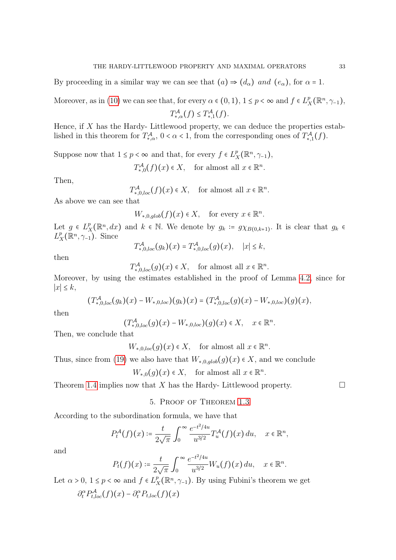By proceeding in a similar way we can see that  $(a) \Rightarrow (d_{\alpha})$  and  $(e_{\alpha})$ , for  $\alpha = 1$ .

Moreover, as in [\(10\)](#page-13-0) we can see that, for every  $\alpha \in (0,1)$ ,  $1 \le p < \infty$  and  $f \in L^p$ ,  $R_X^p(\mathbb{R}^n, \gamma_{-1}),$ 

 $T^{\mathcal{A}}_{*,\alpha}(f) \leq T^{\mathcal{A}}_{*,1}(f).$ 

Hence, if  $X$  has the Hardy- Littlewood property, we can deduce the properties established in this theorem for  $T^{\mathcal{A}}_{*,\alpha}$ ,  $0 < \alpha < 1$ , from the corresponding ones of  $T^{\mathcal{A}}_{*,1}(f)$ .

Suppose now that  $1 \leq p < \infty$  and that, for every  $f \in L^p$  $^p_X(\mathbb{R}^n, \gamma_{-1}),$ 

 $T^{\mathcal{A}}_{*,0}(f)(x) \in X$ , for almost all  $x \in \mathbb{R}^n$ .

Then,

 $T^{\mathcal{A}}_{*,0,loc}(f)(x) \in X$ , for almost all  $x \in \mathbb{R}^n$ .

As above we can see that

 $W_{*,0,glob}(f)(x) \in X$ , for every  $x \in \mathbb{R}^n$ .

Let  $g \in L^p$  $X^p(X^p, dx)$  and  $k \in \mathbb{N}$ . We denote by  $g_k := g \chi_{B(0,k+1)}$ . It is clear that  $g_k \in \mathbb{N}$  $L^p$  $_{X}^{p}(\mathbb{R}^{n},\gamma_{-1})$ . Since

$$
T^{\mathcal{A}}_{*,0,loc}(g_k)(x) = T^{\mathcal{A}}_{*,0,loc}(g)(x), \quad |x| \leq k,
$$

then

 $T^{\mathcal{A}}_{*,0,loc}(g)(x) \in X$ , for almost all  $x \in \mathbb{R}^n$ .

Moreover, by using the estimates established in the proof of Lemma [4.2,](#page-13-2) since for ∣x∣ ≤ k,

$$
(T_{*,0,loc}^{\mathcal{A}}(g_k)(x)-W_{*,0,loc})(g_k)(x)=(T_{*,0,loc}^{\mathcal{A}}(g)(x)-W_{*,0,loc})(g)(x),
$$

then

$$
(T^{\mathcal{A}}_{*,0,loc}(g)(x)-W_{*,0,loc})(g)(x)\in X,\quad x\in\mathbb{R}^n.
$$

Then, we conclude that

 $W_{*,0,loc}(g)(x) \in X$ , for almost all  $x \in \mathbb{R}^n$ .

Thus, since from [\(19\)](#page-17-0) we also have that  $W_{*,0,glob}(g)(x) \in X$ , and we conclude

$$
W_{*,0}(g)(x) \in X
$$
, for almost all  $x \in \mathbb{R}^n$ .

Theorem [1.4](#page-7-0) implies now that X has the Hardy- Littlewood property.  $\Box$ 

5. Proof of Theorem [1.3](#page-5-2)

According to the subordination formula, we have that

$$
P_t^{\mathcal{A}}(f)(x) \coloneqq \frac{t}{2\sqrt{\pi}} \int_0^\infty \frac{e^{-t^2/4u}}{u^{3/2}} T_u^{\mathcal{A}}(f)(x) du, \quad x \in \mathbb{R}^n,
$$

and

$$
P_t(f)(x) \coloneqq \frac{t}{2\sqrt{\pi}} \int_0^\infty \frac{e^{-t^2/4u}}{u^{3/2}} W_u(f)(x) du, \quad x \in \mathbb{R}^n.
$$

Let  $\alpha > 0$ ,  $1 \le p < \infty$  and  $f \in L^p$  $X^p_X(\mathbb{R}^n, \gamma_{-1})$ . By using Fubini's theorem we get  $\partial_t^{\alpha} P_{t,loc}^{\mathcal{A}}(f)(x) - \partial_t^{\alpha} P_{t,loc}(f)(x)$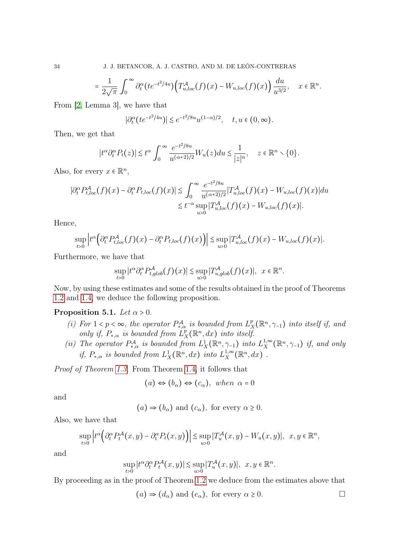$$
= \frac{1}{2\sqrt{\pi}} \int_0^\infty \partial_t^\alpha (te^{-t^2/4u}) \Big( T_{u,loc}^{\mathcal{A}}(f)(x) - W_{u,loc}(f)(x) \Big) \frac{du}{u^{3/2}}, \quad x \in \mathbb{R}^n.
$$

From [\[2,](#page-34-24) Lemma 3], we have that

$$
|\partial_t^{\alpha} (te^{-t^2/4u})| \lesssim e^{-t^2/8u} u^{(1-\alpha)/2}, \quad t, u \in (0, \infty).
$$

Then, we get that

$$
|t^{\alpha}\partial_t^{\alpha}P_t(z)|\lesssim t^{\alpha}\int_0^{\infty}\frac{e^{-t^2/8u}}{u^{(\alpha+2)/2}}W_u(z)du\lesssim \frac{1}{|z|^n},\quad z\in\mathbb{R}^n\setminus\{0\}.
$$

Also, for every  $x \in \mathbb{R}^n$ ,

$$
\left|\partial_t^{\alpha} P_{t,loc}^{\mathcal{A}}(f)(x) - \partial_t^{\alpha} P_{t,loc}(f)(x)\right| \lesssim \int_0^{\infty} \frac{e^{-t^2/8u}}{u^{(\alpha+2)/2}} \left|T_{u,loc}^{\mathcal{A}}(f)(x) - W_{u,loc}(f)(x)\right| du
$$
  

$$
\lesssim t^{-\alpha} \sup_{u>0} \left|T_{u,loc}^{\mathcal{A}}(f)(x) - W_{u,loc}(f)(x)\right|.
$$

Hence,

$$
\sup_{t>0}\left|t^{\alpha}\left(\partial_{t}^{\alpha}P_{t,loc}^{\mathcal{A}}(f)(x)-\partial_{t}^{\alpha}P_{t,loc}(f)(x)\right)\right|\lesssim \sup_{u>0}\left|T_{u,loc}^{\mathcal{A}}(f)(x)-W_{u,loc}(f)(x)\right|.
$$

Furthermore, we have that

$$
\sup_{t>0} |t^{\alpha} \partial_t^{\alpha} P_{t,glob}^{\mathcal{A}}(f)(x)| \lesssim \sup_{u>0} |T_{u,glob}^{\mathcal{A}}(f)(x)|, \ \ x \in \mathbb{R}^n.
$$

Now, by using these estimates and some of the results obtained in the proof of Theorems [1.2](#page-5-0) and [1.4,](#page-7-0) we deduce the following proposition.

## Proposition 5.1. Let  $\alpha > 0$ .

- (i) For  $1 < p < \infty$ , the operator  $P_{*,\alpha}^{\mathcal{A}}$  is bounded from  $L_2^p$  $X_X^p(\mathbb{R}^n, \gamma_{-1})$  into itself if, and only if,  $P_{*,\alpha}$  is bounded from  $\hat{L}_j^p$  $\prod_{X}^{p}(\mathbb{R}^n,dx)$  into itself.
- (ii) The operator  $P_{*,\alpha}^{\mathcal{A}}$  is bounded from  $L_X^1(\mathbb{R}^n, \gamma_{-1})$  into  $L_X^{1,\infty}$  $X^{1,\infty}_X(\mathbb{R}^n, \gamma_{-1})$  if, and only if,  $P_{*,\alpha}$  is bounded from  $L_X^1(\mathbb{R}^n,dx)$  into  $L_X^{1,\infty}$  $X^{1,\infty}_X(\mathbb{R}^n,dx)$ .

Proof of Theorem [1.3.](#page-5-2) From Theorem [1.4,](#page-7-0) it follows that

$$
(a) \Leftrightarrow (b_{\alpha}) \Leftrightarrow (c_{\alpha}), \text{ when } \alpha = 0
$$

and

$$
(a) \Rightarrow (b_{\alpha})
$$
 and  $(c_{\alpha})$ , for every  $\alpha \ge 0$ .

Also, we have that

$$
\sup_{t>0}\left|t^{\alpha}\left(\partial_{t}^{\alpha}P_{t}^{\mathcal{A}}(x,y)-\partial_{t}^{\alpha}P_{t}(x,y)\right)\right|\lesssim \sup_{u>0}|T_{u}^{\mathcal{A}}(x,y)-W_{u}(x,y)|,\ \ x,y\in\mathbb{R}^{n},
$$

and

$$
\sup_{t>0} |t^{\alpha} \partial_t^{\alpha} P_t^{\mathcal{A}}(x, y)| \lesssim \sup_{u>0} |T_u^{\mathcal{A}}(x, y)|, x, y \in \mathbb{R}^n
$$

By proceeding as in the proof of Theorem [1.2](#page-5-0) we deduce from the estimates above that

 $(a) \Rightarrow (d_{\alpha})$  and  $(e_{\alpha})$ , for every  $\alpha \geq 0$ .

.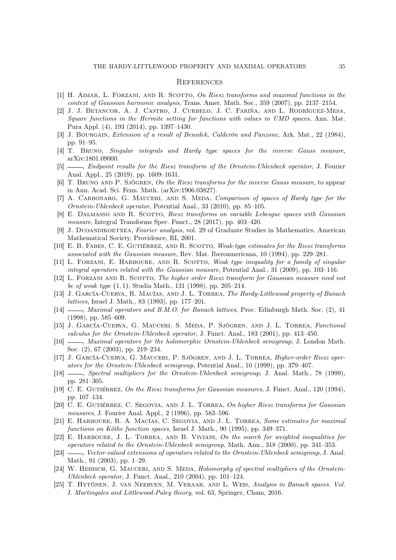#### **REFERENCES**

- <span id="page-34-0"></span>[1] H. AIMAR, L. FORZANI, AND R. SCOTTO, On Riesz transforms and maximal functions in the context of Gaussian harmonic analysis, Trans. Amer. Math. Soc., 359 (2007), pp. 2137–2154.
- <span id="page-34-24"></span>[2] J. J. Betancor, A. J. Castro, J. Curbelo, J. C. Fariña, and L. Rodríguez-Mesa, Square functions in the Hermite setting for functions with values in UMD spaces, Ann. Mat. Pura Appl. (4), 193 (2014), pp. 1397–1430.
- <span id="page-34-17"></span>[3] J. BOURGAIN, Extension of a result of Benedek, Calderón and Panzone, Ark. Mat., 22 (1984), pp. 91–95.
- <span id="page-34-14"></span>[4] T. Bruno, Singular integrals and Hardy type spaces for the inverse Gauss measure, arXiv:1801.09000.
- <span id="page-34-1"></span>[5]  $\_\_\_\_\$  Endpoint results for the Riesz transform of the Ornstein-Uhlenbeck operator, J. Fourier Anal. Appl., 25 (2019), pp. 1609–1631.
- <span id="page-34-15"></span>[6] T. BRUNO AND P. SJÖGREN, On the Riesz transforms for the inverse Gauss measure, to appear in Ann. Acad. Sci. Fenn. Math. (arXiv:1906.03827).
- <span id="page-34-2"></span>[7] A. Carbonaro, G. Mauceri, and S. Meda, Comparison of spaces of Hardy type for the Ornstein-Uhlenbeck operator, Potential Anal., 33 (2010), pp. 85–105.
- <span id="page-34-3"></span>[8] E. DALMASSO AND R. SCOTTO, Riesz transforms on variable Lebesgue spaces with Gaussian measure, Integral Transforms Spec. Funct., 28 (2017), pp. 403–420.
- <span id="page-34-23"></span>[9] J. DUOANDIKOETXEA, Fourier analysis, vol. 29 of Graduate Studies in Mathematics, American Mathematical Society, Providence, RI, 2001.
- <span id="page-34-4"></span>[10] E. B. FABES, C. E. GUTIÉRREZ, AND R. SCOTTO, Weak-type estimates for the Riesz transforms associated with the Gaussian measure, Rev. Mat. Iberoamericana, 10 (1994), pp. 229–281.
- <span id="page-34-5"></span>[11] L. FORZANI, E. HARBOURE, AND R. SCOTTO, Weak type inequality for a family of singular integral operators related with the Gaussian measure, Potential Anal., 31 (2009), pp. 103–116.
- <span id="page-34-6"></span>[12] L. FORZANI AND R. SCOTTO, The higher order Riesz transform for Gaussian measure need not be of weak type  $(1, 1)$ , Studia Math., 131 (1998), pp. 205–214.
- <span id="page-34-18"></span>[13] J. García-Cuerva, R. Macías, and J. L. Torrea, The Hardy-Littlewood property of Banach lattices, Israel J. Math., 83 (1993), pp. 177–201.
- <span id="page-34-19"></span>[14]  $\_\_\_\_\_\$  Maximal operators and B.M.O. for Banach lattices, Proc. Edinburgh Math. Soc. (2), 41 (1998), pp. 585–609.
- <span id="page-34-7"></span>[15] J. García-Cuerva, G. Mauceri, S. Meda, P. Sjögren, and J. L. Torrea, Functional calculus for the Ornstein-Uhlenbeck operator, J. Funct. Anal., 183 (2001), pp. 413–450.
- <span id="page-34-8"></span>[16] , Maximal operators for the holomorphic Ornstein-Uhlenbeck semigroup, J. London Math. Soc. (2), 67 (2003), pp. 219–234.
- <span id="page-34-9"></span>[17] J. García-Cuerva, G. Mauceri, P. Sjögren, and J. L. Torrea, Higher-order Riesz operators for the Ornstein-Uhlenbeck semigroup, Potential Anal., 10 (1999), pp. 379–407.
- <span id="page-34-10"></span>[18]  $\qquad \qquad$ , Spectral multipliers for the Ornstein-Uhlenbeck semigroup, J. Anal. Math., 78 (1999), pp. 281–305.
- <span id="page-34-11"></span>[19] C. E. GUTIÉRREZ, On the Riesz transforms for Gaussian measures, J. Funct. Anal., 120 (1994), pp. 107–134.
- <span id="page-34-12"></span>[20] C. E. GUTIÉRREZ, C. SEGOVIA, AND J. L. TORREA, On higher Riesz transforms for Gaussian measures, J. Fourier Anal. Appl., 2 (1996), pp. 583–596.
- <span id="page-34-20"></span>[21] E. Harboure, R. A. Macías, C. Segovia, and J. L. Torrea, Some estimates for maximal functions on Köthe function spaces, Israel J. Math., 90 (1995), pp. 349–371.
- <span id="page-34-22"></span>[22] E. HARBOURE, J. L. TORREA, AND B. VIVIANI, On the search for weighted inequalities for operators related to the Ornstein-Uhlenbeck semigroup, Math. Ann., 318 (2000), pp. 341–353.
- <span id="page-34-16"></span>[23] — *Vector-valued extensions of operators related to the Ornstein-Uhlenbeck semigroup*, J. Anal. Math., 91 (2003), pp. 1–29.
- <span id="page-34-13"></span>[24] W. HEBISCH, G. MAUCERI, AND S. MEDA, Holomorphy of spectral multipliers of the Ornstein-Uhlenbeck operator, J. Funct. Anal., 210 (2004), pp. 101–124.
- <span id="page-34-21"></span>[25] T. Hytönen, J. van Neerven, M. Veraar, and L. Weis, Analysis in Banach spaces. Vol. I. Martingales and Littlewood-Paley theory, vol. 63, Springer, Cham, 2016.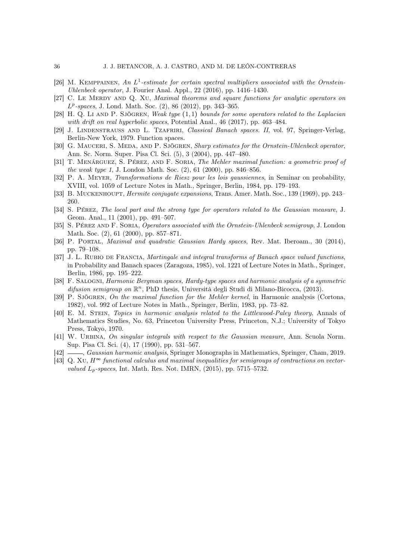- <span id="page-35-1"></span>[26] M. KEMPPAINEN, An  $L^1$ -estimate for certain spectral multipliers associated with the Ornstein-Uhlenbeck operator, J. Fourier Anal. Appl., 22 (2016), pp. 1416–1430.
- <span id="page-35-13"></span>[27] C. LE MERDY AND Q. XU, Maximal theorems and square functions for analytic operators on  $L^p$ -spaces, J. Lond. Math. Soc. (2), 86 (2012), pp. 343–365.
- <span id="page-35-14"></span>[28] H. O. Li AND P. Sjögren, Weak type  $(1,1)$  bounds for some operators related to the Laplacian with drift on real hyperbolic spaces, Potential Anal., 46 (2017), pp. 463-484.
- <span id="page-35-15"></span>[29] J. LINDENSTRAUSS AND L. TZAFRIRI, Classical Banach spaces. II, vol. 97, Springer-Verlag, Berlin-New York, 1979. Function spaces.
- <span id="page-35-2"></span>[30] G. MAUCERI, S. MEDA, AND P. SJÖGREN, Sharp estimates for the Ornstein-Uhlenbeck operator, Ann. Sc. Norm. Super. Pisa Cl. Sci. (5), 3 (2004), pp. 447–480.
- <span id="page-35-3"></span>[31] T. Menárguez, S. Pérez, and F. Soria, The Mehler maximal function: a geometric proof of the weak type 1, J. London Math. Soc. (2), 61 (2000), pp. 846–856.
- <span id="page-35-4"></span>[32] P. A. Meyer, Transformations de Riesz pour les lois gaussiennes, in Seminar on probability, XVIII, vol. 1059 of Lecture Notes in Math., Springer, Berlin, 1984, pp. 179–193.
- <span id="page-35-0"></span>[33] B. MUCKENHOUPT, *Hermite conjugate expansions*, Trans. Amer. Math. Soc., 139 (1969), pp. 243– 260.
- <span id="page-35-5"></span>[34] S. Pérez, The local part and the strong type for operators related to the Gaussian measure, J. Geom. Anal., 11 (2001), pp. 491–507.
- <span id="page-35-6"></span>[35] S. PÉREZ AND F. SORIA, Operators associated with the Ornstein-Uhlenbeck semigroup, J. London Math. Soc. (2), 61 (2000), pp. 857–871.
- <span id="page-35-7"></span>[36] P. Portal, Maximal and quadratic Gaussian Hardy spaces, Rev. Mat. Iberoam., 30 (2014), pp. 79–108.
- <span id="page-35-16"></span>[37] J. L. RUBIO DE FRANCIA, Martingale and integral transforms of Banach space valued functions, in Probability and Banach spaces (Zaragoza, 1985), vol. 1221 of Lecture Notes in Math., Springer, Berlin, 1986, pp. 195–222.
- <span id="page-35-11"></span>[38] F. Salogni, Harmonic Bergman spaces, Hardy-type spaces and harmonic analysis of a symmetric difusion semigroup on  $\mathbb{R}^n$ , PhD thesis, Università degli Studi di Milano-Bicocca, (2013).
- <span id="page-35-8"></span>[39] P. SJÖGREN, On the maximal function for the Mehler kernel, in Harmonic analysis (Cortona, 1982), vol. 992 of Lecture Notes in Math., Springer, Berlin, 1983, pp. 73–82.
- <span id="page-35-12"></span>[40] E. M. Stein, Topics in harmonic analysis related to the Littlewood-Paley theory, Annals of Mathematics Studies, No. 63, Princeton University Press, Princeton, N.J.; University of Tokyo Press, Tokyo, 1970.
- <span id="page-35-9"></span>[41] W. URBINA, On singular integrals with respect to the Gaussian measure, Ann. Scuola Norm. Sup. Pisa Cl. Sci. (4), 17 (1990), pp. 531–567.
- <span id="page-35-10"></span>[42]  $\frac{[42]}{[42]}$ , Gaussian harmonic analysis, Springer Monographs in Mathematics, Springer, Cham, 2019.
- <span id="page-35-17"></span>[43] Q. XU,  $H^{\infty}$  functional calculus and maximal inequalities for semigroups of contractions on vectorvalued  $L_p$ -spaces, Int. Math. Res. Not. IMRN,  $(2015)$ , pp. 5715–5732.